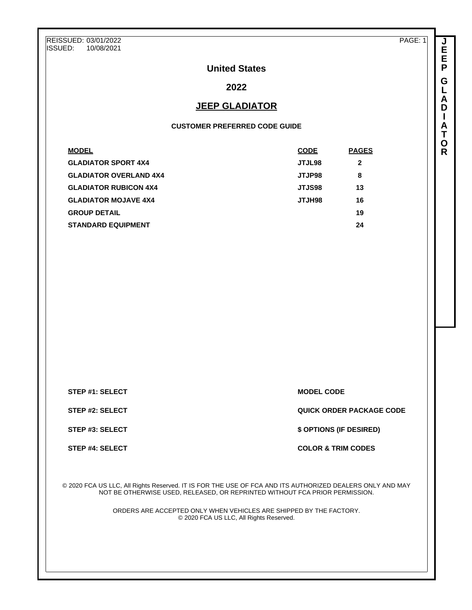REISSUED: 03/01/2022<br>ISSUED: 10/08/2021 ISSUED: 10/08/2021

PAGE: 1

**J E E P G L A D I A T O R**

# **United States**

# **2022**

# **JEEP GLADIATOR**

#### **CUSTOMER PREFERRED CODE GUIDE**

| <b>CODE</b>   | <b>PAGES</b> |
|---------------|--------------|
| JTJL98        | $\mathbf{2}$ |
| <b>JTJP98</b> | 8            |
| <b>JTJS98</b> | 13           |
| <b>SPHLTL</b> | 16           |
|               | 19           |
|               | 24           |
|               |              |

**STEP #1: SELECT MODEL CODE** 

**STEP #2: SELECT QUICK ORDER PACKAGE CODE**

**STEP #3: SELECT \$ OPTIONS (IF DESIRED)**

**STEP #4: SELECT COLOR & TRIM CODES** 

© 2020 FCA US LLC, All Rights Reserved. IT IS FOR THE USE OF FCA AND ITS AUTHORIZED DEALERS ONLY AND MAY NOT BE OTHERWISE USED, RELEASED, OR REPRINTED WITHOUT FCA PRIOR PERMISSION.

> ORDERS ARE ACCEPTED ONLY WHEN VEHICLES ARE SHIPPED BY THE FACTORY. © 2020 FCA US LLC, All Rights Reserved.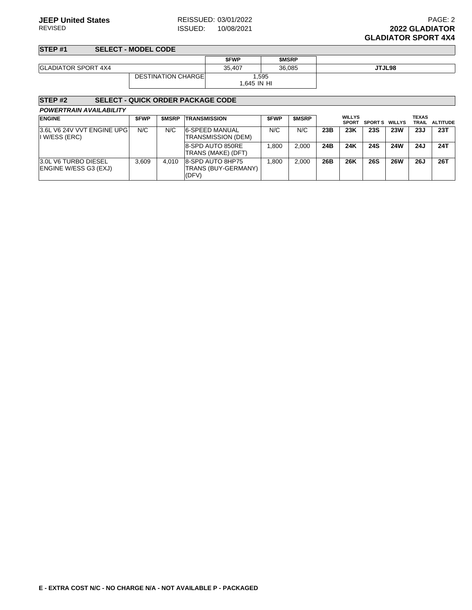**STEP #1 SELECT - MODEL CODE**

|                            |                            | \$FWP       | \$MSRP |        |
|----------------------------|----------------------------|-------------|--------|--------|
| <b>GLADIATOR SPORT 4X4</b> |                            | 35,407      | 36,085 | JTJL98 |
|                            | <b>DESTINATION CHARGEL</b> | ,595        |        |        |
|                            |                            | 1.645 IN HI |        |        |

### **STEP #2 SELECT - QUICK ORDER PACKAGE CODE**

| <b>ENGINE</b>                                        | <b>SFWP</b> | <b>SMSRP</b> | <b>TRANSMISSION</b>                              | <b>SFWP</b> | <b>SMSRP</b> |     | <b>WILLYS</b><br><b>SPORT</b> | <b>SPORT S</b> | WILLYS     | TEXAS<br>TRAIL | <b>ALTITUDE</b> |
|------------------------------------------------------|-------------|--------------|--------------------------------------------------|-------------|--------------|-----|-------------------------------|----------------|------------|----------------|-----------------|
| 3.6L V6 24V VVT ENGINE UPG<br>I W/ESS (ERC)          | N/C         | N/C          | <b>6-SPEED MANUAL</b><br>TRANSMISSION (DEM)      | N/C         | N/C          | 23B | 23K                           | <b>23S</b>     | <b>23W</b> | 23J            | 23T             |
|                                                      |             |              | 8-SPD AUTO 850RE<br><b>TRANS (MAKE) (DFT)</b>    | 1.800       | 2.000        | 24B | 24K                           | <b>24S</b>     | <b>24W</b> | 24J            | 24T             |
| <b>3.0L V6 TURBO DIESEL</b><br>ENGINE W/ESS G3 (EXJ) | 3.609       | 4.010        | 8-SPD AUTO 8HP75<br>TRANS (BUY-GERMANY)<br>(DFV) | 1.800       | 2.000        | 26B | 26K                           | <b>26S</b>     | <b>26W</b> | <b>26J</b>     | 26T             |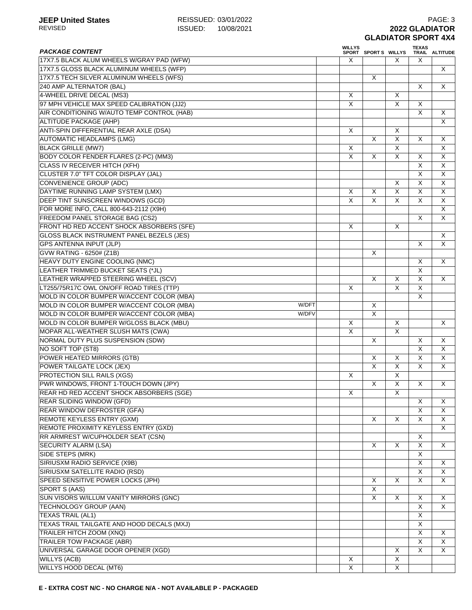| <b>PACKAGE CONTENT</b>                                                                 |       | <b>WILLYS</b>             | SPORT SPORTS WILLYS          |                              | <b>TEXAS</b>              | TRAIL ALTITUDE               |
|----------------------------------------------------------------------------------------|-------|---------------------------|------------------------------|------------------------------|---------------------------|------------------------------|
| 17X7.5 BLACK ALUM WHEELS W/GRAY PAD (WFW)                                              |       | X                         |                              | X                            | X                         |                              |
| 17X7.5 GLOSS BLACK ALUMINUM WHEELS (WFP)                                               |       |                           |                              |                              |                           | X                            |
| 17X7.5 TECH SILVER ALUMINUM WHEELS (WFS)                                               |       |                           | X                            |                              |                           |                              |
| 240 AMP ALTERNATOR (BAL)                                                               |       |                           |                              |                              | $\times$                  | X                            |
| 4-WHEEL DRIVE DECAL (MS3)                                                              |       | X                         |                              | X                            |                           |                              |
| 97 MPH VEHICLE MAX SPEED CALIBRATION (JJ2)                                             |       | X                         |                              | X                            | X                         |                              |
| AIR CONDITIONING W/AUTO TEMP CONTROL (HAB)                                             |       |                           |                              |                              | $\overline{\mathsf{x}}$   | X                            |
| <b>ALTITUDE PACKAGE (AHP)</b>                                                          |       |                           |                              |                              |                           | X                            |
| ANTI-SPIN DIFFERENTIAL REAR AXLE (DSA)                                                 |       | $\boldsymbol{\mathsf{X}}$ |                              | X                            |                           |                              |
| AUTOMATIC HEADLAMPS (LMG)                                                              |       |                           | X                            | $\overline{\mathsf{x}}$      | $\mathsf{X}$              | X                            |
| <b>BLACK GRILLE (MW7)</b>                                                              |       | X                         |                              | X                            |                           | X                            |
| BODY COLOR FENDER FLARES (2-PC) (MM3)                                                  |       | X                         | X                            | Χ                            | X                         | X                            |
| <b>CLASS IV RECEIVER HITCH (XFH)</b>                                                   |       |                           |                              |                              | $\overline{\mathsf{x}}$   | X                            |
| CLUSTER 7.0" TFT COLOR DISPLAY (JAL)                                                   |       |                           |                              |                              | $\boldsymbol{\mathsf{X}}$ | X                            |
| <b>CONVENIENCE GROUP (ADC)</b>                                                         |       |                           |                              | X                            | $\overline{\mathsf{x}}$   | X                            |
| DAYTIME RUNNING LAMP SYSTEM (LMX)                                                      |       | X                         | X                            | X                            | $\boldsymbol{\mathsf{X}}$ | X                            |
| DEEP TINT SUNSCREEN WINDOWS (GCD)                                                      |       | $\overline{\mathsf{x}}$   | $\overline{\mathsf{x}}$      | $\overline{\mathsf{x}}$      | $\overline{\mathsf{x}}$   | $\overline{\mathsf{x}}$      |
| FOR MORE INFO, CALL 800-643-2112 (X9H)                                                 |       |                           |                              |                              |                           | X                            |
| FREEDOM PANEL STORAGE BAG (CS2)                                                        |       |                           |                              |                              | $\times$                  | X                            |
| FRONT HD RED ACCENT SHOCK ABSORBERS (SFE)                                              |       | X                         |                              | X                            |                           |                              |
| GLOSS BLACK INSTRUMENT PANEL BEZELS (JES)                                              |       |                           |                              |                              |                           | X                            |
| <b>GPS ANTENNA INPUT (JLP)</b>                                                         |       |                           |                              |                              | $\times$                  | $\overline{X}$               |
| GVW RATING - 6250# (Z1B)                                                               |       |                           | X                            |                              |                           |                              |
| HEAVY DUTY ENGINE COOLING (NMC)                                                        |       |                           |                              |                              | X                         | X                            |
| LEATHER TRIMMED BUCKET SEATS (*JL)                                                     |       |                           |                              |                              | $\overline{\mathsf{x}}$   |                              |
|                                                                                        |       |                           |                              |                              | $\overline{\mathsf{x}}$   |                              |
| LEATHER WRAPPED STEERING WHEEL (SCV)                                                   |       | X                         | X                            | X<br>X                       | $\overline{\mathsf{x}}$   | X                            |
| LT255/75R17C OWL ON/OFF ROAD TIRES (TTP)                                               |       |                           |                              |                              |                           |                              |
| MOLD IN COLOR BUMPER W/ACCENT COLOR (MBA)<br>MOLD IN COLOR BUMPER W/ACCENT COLOR (MBA) | W/DFT |                           |                              |                              | $\boldsymbol{\mathsf{X}}$ |                              |
| MOLD IN COLOR BUMPER W/ACCENT COLOR (MBA)                                              | W/DFV |                           | X<br>$\overline{\mathsf{x}}$ |                              |                           |                              |
| MOLD IN COLOR BUMPER W/GLOSS BLACK (MBU)                                               |       | X                         |                              |                              |                           | X                            |
| MOPAR ALL-WEATHER SLUSH MATS (CWA)                                                     |       | X                         |                              | X<br>$\overline{\mathsf{x}}$ |                           |                              |
| NORMAL DUTY PLUS SUSPENSION (SDW)                                                      |       |                           | X                            |                              | $\times$                  | X                            |
| NO SOFT TOP (ST8)                                                                      |       |                           |                              |                              | $\overline{\mathsf{x}}$   | $\mathsf{X}$                 |
| POWER HEATED MIRRORS (GTB)                                                             |       |                           | X                            |                              | X                         |                              |
| POWER TAILGATE LOCK (JEX)                                                              |       |                           | $\overline{\mathsf{x}}$      | х<br>X                       | $\overline{\mathsf{x}}$   | X<br>$\overline{\mathsf{x}}$ |
| PROTECTION SILL RAILS (XGS)                                                            |       | X                         |                              | X                            |                           |                              |
| PWR WINDOWS, FRONT 1-TOUCH DOWN (JPY)                                                  |       |                           | X                            | X                            | X                         | X                            |
|                                                                                        |       |                           |                              |                              |                           |                              |
| REAR HD RED ACCENT SHOCK ABSORBERS (SGE)<br>REAR SLIDING WINDOW (GFD)                  |       | Χ                         |                              | X                            | X                         | X                            |
| REAR WINDOW DEFROSTER (GFA)                                                            |       |                           |                              |                              | $\mathsf{X}$              | X                            |
| REMOTE KEYLESS ENTRY (GXM)                                                             |       |                           | X                            | X                            | X                         | X                            |
| REMOTE PROXIMITY KEYLESS ENTRY (GXD)                                                   |       |                           |                              |                              |                           | X                            |
| RR ARMREST W/CUPHOLDER SEAT (CSN)                                                      |       |                           |                              |                              | Χ                         |                              |
| <b>SECURITY ALARM (LSA)</b>                                                            |       |                           | X                            | X                            | X                         | X                            |
| SIDE STEPS (MRK)                                                                       |       |                           |                              |                              | $\overline{\mathsf{x}}$   |                              |
| SIRIUSXM RADIO SERVICE (X9B)                                                           |       |                           |                              |                              | $\boldsymbol{\mathsf{X}}$ | X                            |
| SIRIUSXM SATELLITE RADIO (RSD)                                                         |       |                           |                              |                              | $\times$                  | $\times$                     |
| SPEED SENSITIVE POWER LOCKS (JPH)                                                      |       |                           | X                            | X                            | X                         | X                            |
| SPORT S (AAS)                                                                          |       |                           | X                            |                              |                           |                              |
| SUN VISORS W/ILLUM VANITY MIRRORS (GNC)                                                |       |                           | X                            | X                            | X                         | X                            |
| TECHNOLOGY GROUP (AAN)                                                                 |       |                           |                              |                              | X                         | X                            |
| <b>TEXAS TRAIL (AL1)</b>                                                               |       |                           |                              |                              | X                         |                              |
| TEXAS TRAIL TAILGATE AND HOOD DECALS (MXJ)                                             |       |                           |                              |                              | X                         |                              |
| TRAILER HITCH ZOOM (XNQ)                                                               |       |                           |                              |                              | $\times$                  | X                            |
| <b>TRAILER TOW PACKAGE (ABR)</b>                                                       |       |                           |                              |                              | $\boldsymbol{\mathsf{X}}$ | X                            |
| UNIVERSAL GARAGE DOOR OPENER (XGD)                                                     |       |                           |                              | X                            | $\mathsf{X}$              | $\times$                     |
| <b>WILLYS (ACB)</b>                                                                    |       | Χ                         |                              | X                            |                           |                              |
| <b>WILLYS HOOD DECAL (MT6)</b>                                                         |       | $\boldsymbol{\mathsf{X}}$ |                              | X                            |                           |                              |
|                                                                                        |       |                           |                              |                              |                           |                              |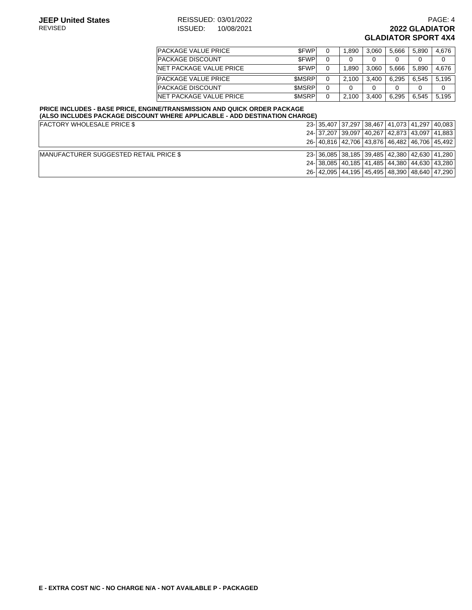### **JEEP United States** REISSUED: 03/01/2022<br>REVISED **REVISED REVISOR CONFINITOR** REVISED **PAGE: 4**<br>**REVISED 2022 GLADIATOR REVIED: 10/08/2021 12022 GLADIATOR GLADIATOR SPORT 4X4**

| PACKAGE VALUE PRICE             | \$FWP        |   | 1.890 | 3.060 | 5.666 | 5.890 | 4.676 |
|---------------------------------|--------------|---|-------|-------|-------|-------|-------|
| PACKAGE DISCOUNT                | \$FWP        |   |       |       |       |       | 0     |
| <b>INET PACKAGE VALUE PRICE</b> | \$FWP        |   | 1.890 | 3.060 | 5.666 | 5.890 | 4.676 |
| PACKAGE VALUE PRICE             | <b>SMSRP</b> | 0 | 2.100 | 3.400 | 6.295 | 6.545 | 5.195 |
| IPACKAGE DISCOUNT               | <b>SMSRP</b> |   |       |       |       |       | 0     |
| <b>INET PACKAGE VALUE PRICE</b> | <b>SMSRP</b> | 0 | 2.100 | 3.400 | 6.295 | 6.545 | 5.195 |

#### **PRICE INCLUDES - BASE PRICE, ENGINE/TRANSMISSION AND QUICK ORDER PACKAGE (ALSO INCLUDES PACKAGE DISCOUNT WHERE APPLICABLE - ADD DESTINATION CHARGE)**

| <b>FACTORY WHOLESALE PRICE \$</b>              |  |  |  |  |  |                                               | 23-35,407 37,297 38,467 41,073 41,297 40,083  |  |
|------------------------------------------------|--|--|--|--|--|-----------------------------------------------|-----------------------------------------------|--|
|                                                |  |  |  |  |  |                                               | 24- 37,207 39,097 40,267 42,873 43,097 41,883 |  |
|                                                |  |  |  |  |  | 26- 40.816 42.706 43.876 46.482 46.706 45.492 |                                               |  |
|                                                |  |  |  |  |  |                                               |                                               |  |
| <b>IMANUFACTURER SUGGESTED RETAIL PRICE \$</b> |  |  |  |  |  |                                               | 23-36,085 38,185 39,485 42,380 42,630 41,280  |  |
|                                                |  |  |  |  |  | 24- 38.085 40.185 41.485 44.380 44.630 43.280 |                                               |  |
|                                                |  |  |  |  |  | 26- 42,095 44,195 45,495 48,390 48,640 47,290 |                                               |  |
|                                                |  |  |  |  |  |                                               |                                               |  |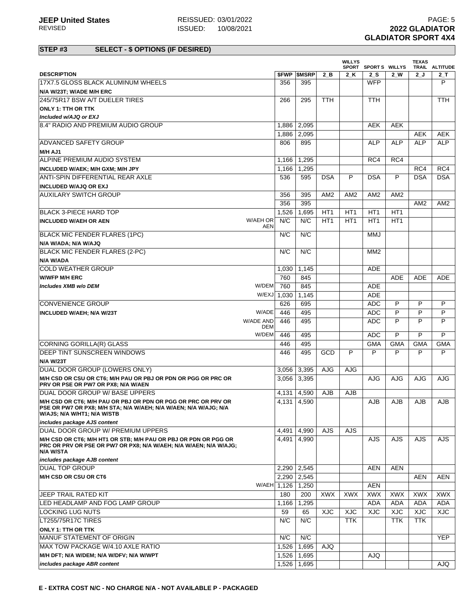|                                                                                                                                      |                        |             |                          |                 | <b>WILLYS</b>   | SPORT SPORTS WILLYS |                 | <b>TEXAS</b>    | TRAIL ALTITUDE |
|--------------------------------------------------------------------------------------------------------------------------------------|------------------------|-------------|--------------------------|-----------------|-----------------|---------------------|-----------------|-----------------|----------------|
| <b>DESCRIPTION</b>                                                                                                                   |                        |             | <b><i>SFWP SMSRP</i></b> | 2 B             | 2 K             | 2 S                 | 2 W             | 2J              | $2-$ T         |
| 17X7.5 GLOSS BLACK ALUMINUM WHEELS                                                                                                   |                        | 356         | 395                      |                 |                 | <b>WFP</b>          |                 |                 | P              |
| N/A W/23T; W/ADE M/H ERC                                                                                                             |                        |             |                          |                 |                 |                     |                 |                 |                |
| 245/75R17 BSW A/T DUELER TIRES                                                                                                       |                        | 266         | 295                      | <b>TTH</b>      |                 | <b>TTH</b>          |                 |                 | <b>TTH</b>     |
| ONLY 1: TTH OR TTK                                                                                                                   |                        |             |                          |                 |                 |                     |                 |                 |                |
| Included w/AJQ or EXJ                                                                                                                |                        |             |                          |                 |                 |                     |                 |                 |                |
| 8.4" RADIO AND PREMIUM AUDIO GROUP                                                                                                   |                        | 1,886       | 2,095                    |                 |                 | <b>AEK</b>          | <b>AEK</b>      |                 |                |
|                                                                                                                                      |                        | 1,886       | 2,095                    |                 |                 |                     |                 | <b>AEK</b>      | AEK            |
| ADVANCED SAFETY GROUP                                                                                                                |                        | 806         | 895                      |                 |                 | <b>ALP</b>          | <b>ALP</b>      | <b>ALP</b>      | <b>ALP</b>     |
| M/H AJ1                                                                                                                              |                        |             |                          |                 |                 |                     |                 |                 |                |
| ALPINE PREMIUM AUDIO SYSTEM                                                                                                          |                        | 1,166       | 1,295                    |                 |                 | RC4                 | RC4             |                 |                |
|                                                                                                                                      |                        | 1,166       | 1,295                    |                 |                 |                     |                 | RC4             | RC4            |
| INCLUDED W/AEK; M/H GXM; M/H JPY<br>ANTI-SPIN DIFFERENTIAL REAR AXLE                                                                 |                        |             | 595                      | <b>DSA</b>      | P               | <b>DSA</b>          | P               | <b>DSA</b>      | <b>DSA</b>     |
|                                                                                                                                      |                        | 536         |                          |                 |                 |                     |                 |                 |                |
| <b>INCLUDED W/AJQ OR EXJ</b>                                                                                                         |                        |             |                          |                 |                 |                     |                 |                 |                |
| AUXILARY SWITCH GROUP                                                                                                                |                        | 356         | 395                      | AM <sub>2</sub> | AM <sub>2</sub> | AM <sub>2</sub>     | AM <sub>2</sub> |                 |                |
|                                                                                                                                      |                        | 356         | 395                      |                 |                 |                     |                 | AM <sub>2</sub> | AM2            |
| <b>BLACK 3-PIECE HARD TOP</b>                                                                                                        |                        | 1,526       | 1,695                    | HT <sub>1</sub> | HT <sub>1</sub> | HT <sub>1</sub>     | HT <sub>1</sub> |                 |                |
| <b>INCLUDED W/AEH OR AEN</b>                                                                                                         | <b>W/AEH OR</b><br>AEN | N/C         | N/C                      | HT <sub>1</sub> | HT <sub>1</sub> | HT <sub>1</sub>     | HT <sub>1</sub> |                 |                |
| <b>BLACK MIC FENDER FLARES (1PC)</b>                                                                                                 |                        | N/C         | N/C                      |                 |                 | <b>MMJ</b>          |                 |                 |                |
| N/A W/ADA; N/A W/AJQ                                                                                                                 |                        |             |                          |                 |                 |                     |                 |                 |                |
| BLACK MIC FENDER FLARES (2-PC)                                                                                                       |                        | N/C         | N/C                      |                 |                 | MM <sub>2</sub>     |                 |                 |                |
| N/A W/ADA                                                                                                                            |                        |             |                          |                 |                 |                     |                 |                 |                |
| <b>COLD WEATHER GROUP</b>                                                                                                            |                        | 1,030       | 1,145                    |                 |                 | <b>ADE</b>          |                 |                 |                |
| <b>W/WFP M/H ERC</b>                                                                                                                 |                        | 760         | 845                      |                 |                 |                     | <b>ADE</b>      | <b>ADE</b>      | <b>ADE</b>     |
| Includes XMB w/o DEM                                                                                                                 | W/DEM                  | 760         | 845                      |                 |                 | <b>ADE</b>          |                 |                 |                |
|                                                                                                                                      | W/EXJ                  | 1,030       | 1,145                    |                 |                 | <b>ADE</b>          |                 |                 |                |
| CONVENIENCE GROUP                                                                                                                    |                        | 626         | 695                      |                 |                 | <b>ADC</b>          | P               | P               | P              |
| INCLUDED W/AEH; N/A W/23T                                                                                                            | W/ADE                  | 446         | 495                      |                 |                 | <b>ADC</b>          | P               | P               | P              |
|                                                                                                                                      | <b>W/ADE AND</b>       | 446         | 495                      |                 |                 | <b>ADC</b>          | P               | P               | P              |
|                                                                                                                                      | <b>DEM</b>             |             |                          |                 |                 |                     |                 |                 |                |
|                                                                                                                                      | W/DEM                  | 446         | 495                      |                 |                 | <b>ADC</b>          | P               | P               | P              |
| CORNING GORILLA(R) GLASS                                                                                                             |                        | 446         | 495                      |                 |                 | <b>GMA</b>          | <b>GMA</b>      | <b>GMA</b>      | <b>GMA</b>     |
| DEEP TINT SUNSCREEN WINDOWS                                                                                                          |                        | 446         | 495                      | GCD             | P               | P                   | P               | P               | P              |
| <b>N/A W/23T</b>                                                                                                                     |                        |             |                          |                 |                 |                     |                 |                 |                |
| DUAL DOOR GROUP (LOWERS ONLY)                                                                                                        |                        | 3,056       | 3,395                    | AJG             | <b>AJG</b>      |                     |                 |                 |                |
| M/H CSD OR CSU OR CT6; M/H PAU OR PBJ OR PDN OR PGG OR PRC OR<br>PRV OR PSE OR PW7 OR PX8; N/A W/AEN                                 |                        | 3,056       | 3,395                    |                 |                 | AJG                 | <b>AJG</b>      | AJG             | AJG            |
| DUAL DOOR GROUP W/ BASE UPPERS                                                                                                       |                        | 4,131       | 4,590                    | AJB             | AJB             |                     |                 |                 |                |
| M/H CSD OR CT6; M/H PAU OR PBJ OR PDN OR PGG OR PRC OR PRV OR                                                                        |                        | 4,131       | 4,590                    |                 |                 | AJB                 | <b>AJB</b>      | AJB             | AJB            |
| PSE OR PW7 OR PX8; M/H STA; N/A W/AEH; N/A W/AEN; N/A W/AJG; N/A                                                                     |                        |             |                          |                 |                 |                     |                 |                 |                |
| W/AJS; N/A W/HT1; N/A W/STB                                                                                                          |                        |             |                          |                 |                 |                     |                 |                 |                |
| includes package AJS content<br>DUAL DOOR GROUP W/ PREMIUM UPPERS                                                                    |                        | 4,491       | 4,990                    | <b>AJS</b>      | <b>AJS</b>      |                     |                 |                 |                |
|                                                                                                                                      |                        |             | 4.990                    |                 |                 | AJS                 | <b>AJS</b>      | AJS.            | <b>AJS</b>     |
| M/H CSD OR CT6; M/H HT1 OR STB; M/H PAU OR PBJ OR PDN OR PGG OR<br>PRC OR PRV OR PSE OR PW7 OR PX8; N/A W/AEH; N/A W/AEN; N/A W/AJG; |                        | 4,491       |                          |                 |                 |                     |                 |                 |                |
| N/A W/STA                                                                                                                            |                        |             |                          |                 |                 |                     |                 |                 |                |
| includes package AJB content                                                                                                         |                        |             |                          |                 |                 |                     |                 |                 |                |
| DUAL TOP GROUP                                                                                                                       |                        | 2,290       | 2,545                    |                 |                 | AEN                 | <b>AEN</b>      |                 |                |
| M/H CSD OR CSU OR CT6                                                                                                                |                        | 2,290       | 2,545                    |                 |                 |                     |                 | <b>AEN</b>      | <b>AEN</b>     |
|                                                                                                                                      |                        | W/AEH 1.126 | 1,250                    |                 |                 | <b>AEN</b>          |                 |                 |                |
| JEEP TRAIL RATED KIT                                                                                                                 |                        | 180         | 200                      | <b>XWX</b>      | <b>XWX</b>      | XWX                 | <b>XWX</b>      | <b>XWX</b>      | XWX            |
| LED HEADLAMP AND FOG LAMP GROUP                                                                                                      |                        | 1,166       | 1,295                    |                 |                 | <b>ADA</b>          | ADA             | <b>ADA</b>      | ADA            |
| LOCKING LUG NUTS                                                                                                                     |                        | 59          | 65                       | <b>XJC</b>      | <b>XJC</b>      | <b>XJC</b>          | <b>XJC</b>      | <b>XJC</b>      | <b>XJC</b>     |
| LT255/75R17C TIRES                                                                                                                   |                        | N/C         | N/C                      |                 | <b>TTK</b>      |                     | <b>TTK</b>      | TTK             |                |
| ONLY 1: TTH OR TTK                                                                                                                   |                        |             |                          |                 |                 |                     |                 |                 |                |
| <b>MANUF STATEMENT OF ORIGIN</b>                                                                                                     |                        | N/C         | N/C                      |                 |                 |                     |                 |                 | <b>YEP</b>     |
| MAX TOW PACKAGE W/4.10 AXLE RATIO                                                                                                    |                        | 1,526       | 1,695                    | AJQ             |                 |                     |                 |                 |                |
| M/H DFT; N/A W/DEM; N/A W/DFV; N/A W/WPT                                                                                             |                        | 1,526       | 1,695                    |                 |                 | AJQ                 |                 |                 |                |
| includes package ABR content                                                                                                         |                        | 1,526       | 1,695                    |                 |                 |                     |                 |                 | <b>AJQ</b>     |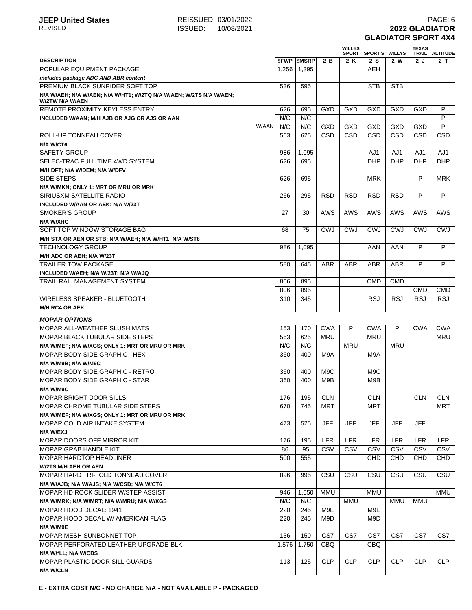# **JEEP United States** REISSUED: 03/01/2022<br>REVISED **REVISED PAGE: 6**<br>REVISED **2022 GLADIATOR REVIED: 10/08/2021 12022 GLADIATOR GLADIATOR SPORT 4X4**

|                                                                                         |            |                          |                  | <b>WILLYS</b> |                            |            | <b>TEXAS</b> |                          |
|-----------------------------------------------------------------------------------------|------------|--------------------------|------------------|---------------|----------------------------|------------|--------------|--------------------------|
| <b>DESCRIPTION</b>                                                                      |            | <b><i>SFWP SMSRP</i></b> | 2 B              | 2 K           | SPORT SPORTS WILLYS<br>2 S | 2 W        | 2 J          | TRAIL ALTITUDE<br>$2$ _T |
| <b>POPULAR EQUIPMENT PACKAGE</b>                                                        | 1,256      | 1,395                    |                  |               | <b>AEH</b>                 |            |              |                          |
| includes package ADC AND ABR content                                                    |            |                          |                  |               |                            |            |              |                          |
| <b>PREMIUM BLACK SUNRIDER SOFT TOP</b>                                                  | 536        | 595                      |                  |               | <b>STB</b>                 | <b>STB</b> |              |                          |
| N/A W/AEH; N/A W/AEN; N/A W/HT1; W/2TQ N/A W/AEN; W/2TS N/A W/AEN;                      |            |                          |                  |               |                            |            |              |                          |
| W/2TW N/A W/AEN                                                                         |            |                          |                  |               |                            |            |              |                          |
| <b>REMOTE PROXIMITY KEYLESS ENTRY</b>                                                   | 626        | 695                      | GXD              | GXD           | GXD                        | GXD        | GXD          | P                        |
| INCLUDED W/AAN; M/H AJB OR AJG OR AJS OR AAN                                            | N/C        | N/C                      |                  |               |                            |            |              | P                        |
| W/AAN                                                                                   | N/C        | N/C                      | GXD              | GXD           | GXD                        | GXD        | <b>GXD</b>   | P                        |
| <b>ROLL-UP TONNEAU COVER</b>                                                            | 563        | 625                      | <b>CSD</b>       | <b>CSD</b>    | <b>CSD</b>                 | CSD        | <b>CSD</b>   | <b>CSD</b>               |
| N/A W/CT6                                                                               |            |                          |                  |               |                            |            |              |                          |
| <b>SAFETY GROUP</b>                                                                     | 986        | 1,095                    |                  |               | AJ1                        | AJ1        | AJ1          | AJ1                      |
| SELEC-TRAC FULL TIME 4WD SYSTEM                                                         | 626        | 695                      |                  |               | <b>DHP</b>                 | <b>DHP</b> | <b>DHP</b>   | <b>DHP</b>               |
| M/H DFT; N/A W/DEM; N/A W/DFV                                                           |            |                          |                  |               |                            |            |              |                          |
| <b>SIDE STEPS</b>                                                                       | 626        | 695                      |                  |               | <b>MRK</b>                 |            | P            | <b>MRK</b>               |
| N/A W/MKN; ONLY 1: MRT OR MRU OR MRK                                                    |            |                          |                  |               |                            |            |              |                          |
| SIRIUSXM SATELLITE RADIO                                                                | 266        | 295                      | <b>RSD</b>       | <b>RSD</b>    | <b>RSD</b>                 | <b>RSD</b> | P            | P                        |
| <b>INCLUDED W/AAN OR AEK; N/A W/23T</b>                                                 |            |                          |                  |               |                            |            |              |                          |
| <b>SMOKER'S GROUP</b>                                                                   | 27         | 30                       | <b>AWS</b>       | <b>AWS</b>    | AWS                        | <b>AWS</b> | <b>AWS</b>   | AWS                      |
| <b>N/A W/XHC</b><br>SOFT TOP WINDOW STORAGE BAG                                         |            | 75                       | <b>CWJ</b>       | <b>CWJ</b>    | <b>CWJ</b>                 | <b>CWJ</b> | <b>CWJ</b>   | <b>CWJ</b>               |
|                                                                                         | 68         |                          |                  |               |                            |            |              |                          |
| M/H STA OR AEN OR STB; N/A W/AEH; N/A W/HT1; N/A W/ST8<br><b>TECHNOLOGY GROUP</b>       | 986        | 1,095                    |                  |               | AAN                        | AAN        | P            | P                        |
| M/H ADC OR AEH; N/A W/23T                                                               |            |                          |                  |               |                            |            |              |                          |
| <b>TRAILER TOW PACKAGE</b>                                                              | 580        | 645                      | <b>ABR</b>       | <b>ABR</b>    | <b>ABR</b>                 | <b>ABR</b> | P            | P                        |
| INCLUDED W/AEH; N/A W/23T; N/A W/AJQ                                                    |            |                          |                  |               |                            |            |              |                          |
| TRAIL RAIL MANAGEMENT SYSTEM                                                            | 806        | 895                      |                  |               | <b>CMD</b>                 | <b>CMD</b> |              |                          |
|                                                                                         | 806        | 895                      |                  |               |                            |            | <b>CMD</b>   | <b>CMD</b>               |
| WIRELESS SPEAKER - BLUETOOTH                                                            | 310        | 345                      |                  |               | <b>RSJ</b>                 | <b>RSJ</b> | <b>RSJ</b>   | <b>RSJ</b>               |
| <b>M/H RC4 OR AEK</b>                                                                   |            |                          |                  |               |                            |            |              |                          |
|                                                                                         |            |                          |                  |               |                            |            |              |                          |
| <b>MOPAR OPTIONS</b><br>MOPAR ALL-WEATHER SLUSH MATS                                    |            |                          | <b>CWA</b>       | P             | <b>CWA</b>                 | P          | <b>CWA</b>   | <b>CWA</b>               |
|                                                                                         | 153        | 170                      | <b>MRU</b>       |               |                            |            |              |                          |
| <b>MOPAR BLACK TUBULAR SIDE STEPS</b>                                                   | 563<br>N/C | 625<br>N/C               |                  | <b>MRU</b>    | <b>MRU</b>                 | <b>MRU</b> |              | <b>MRU</b>               |
| N/A W/MEF; N/A W/XGS; ONLY 1: MRT OR MRU OR MRK<br><b>MOPAR BODY SIDE GRAPHIC - HEX</b> | 360        | 400                      | M9A              |               | M9A                        |            |              |                          |
|                                                                                         |            |                          |                  |               |                            |            |              |                          |
| N/A W/M9B; N/A W/M9C<br>MOPAR BODY SIDE GRAPHIC - RETRO                                 | 360        | 400                      | M <sub>9</sub> C |               | M <sub>9</sub> C           |            |              |                          |
| MOPAR BODY SIDE GRAPHIC - STAR                                                          | 360        | 400                      | M9B              |               | M9B                        |            |              |                          |
| N/A W/M9C                                                                               |            |                          |                  |               |                            |            |              |                          |
| <b>MOPAR BRIGHT DOOR SILLS</b>                                                          | 176        | 195                      | <b>CLN</b>       |               | <b>CLN</b>                 |            | <b>CLN</b>   | <b>CLN</b>               |
| MOPAR CHROME TUBULAR SIDE STEPS                                                         | 670        | 745                      | <b>MRT</b>       |               | <b>MRT</b>                 |            |              | MRT                      |
| N/A W/MEF; N/A W/XGS; ONLY 1: MRT OR MRU OR MRK                                         |            |                          |                  |               |                            |            |              |                          |
| MOPAR COLD AIR INTAKE SYSTEM                                                            | 473        | 525                      | <b>JFF</b>       | <b>JFF</b>    | <b>JFF</b>                 | <b>JFF</b> | <b>JFF</b>   |                          |
| N/A W/EXJ                                                                               |            |                          |                  |               |                            |            |              |                          |
| <b>MOPAR DOORS OFF MIRROR KIT</b>                                                       | 176        | 195                      | <b>LFR</b>       | <b>LFR</b>    | <b>LFR</b>                 | <b>LFR</b> | <b>LFR</b>   | <b>LFR</b>               |
| MOPAR GRAB HANDLE KIT                                                                   | 86         | 95                       | CSV              | CSV           | CSV                        | CSV        | CSV          | CSV                      |
| MOPAR HARDTOP HEADLINER                                                                 | 500        | 555                      |                  |               | <b>CHD</b>                 | <b>CHD</b> | CHD          | CHD                      |
| W/2TS M/H AEH OR AEN                                                                    |            |                          |                  |               |                            |            |              |                          |
| MOPAR HARD TRI-FOLD TONNEAU COVER                                                       | 896        | 995                      | CSU              | CSU           | CSU                        | CSU        | CSU          | CSU                      |
| N/A W/AJB; N/A W/AJS; N/A W/CSD; N/A W/CT6                                              |            |                          |                  |               |                            |            |              |                          |
| MOPAR HD ROCK SLIDER W/STEP ASSIST                                                      | 946        | 1,050                    | MMU              |               | MMU                        |            |              | MMU                      |
| N/A W/MRK; N/A W/MRT; N/A W/MRU; N/A W/XGS                                              | N/C        | N/C                      |                  | <b>MMU</b>    |                            | <b>MMU</b> | <b>MMU</b>   |                          |
| MOPAR HOOD DECAL: 1941                                                                  | 220        | 245                      | M9E              |               | M9E                        |            |              |                          |
| MOPAR HOOD DECAL W/ AMERICAN FLAG                                                       | 220        | 245                      | M9D              |               | M9D                        |            |              |                          |
| N/A W/M9E                                                                               |            |                          |                  |               |                            |            |              |                          |
| <b>MOPAR MESH SUNBONNET TOP</b>                                                         | 136        | 150                      | CS7              | CS7           | CS7                        | CS7        | CS7          | CS7                      |
| MOPAR PERFORATED LEATHER UPGRADE-BLK                                                    | 1,576      | 1,750                    | CBQ              |               | <b>CBQ</b>                 |            |              |                          |
| N/A W/*LL; N/A W/CBS                                                                    |            |                          |                  |               |                            |            |              |                          |
| MOPAR PLASTIC DOOR SILL GUARDS                                                          | 113        | 125                      | <b>CLP</b>       | <b>CLP</b>    | <b>CLP</b>                 | <b>CLP</b> | <b>CLP</b>   | <b>CLP</b>               |
| N/A W/CLN                                                                               |            |                          |                  |               |                            |            |              |                          |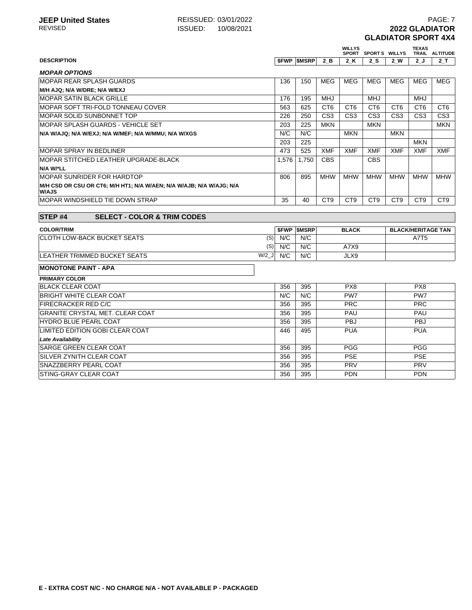## **JEEP United States** REISSUED: 03/01/2022<br>REVISED **REVISED 2022 GLADIATOR** ISSUED: 10/08/2021 **REVIED: 10/08/2021 12022 GLADIATOR GLADIATOR SPORT 4X4**

|                    |                   |     | <b>WILLYS</b><br><b>SPORT</b> | <b>SPORT S</b>         | <b>WILLYS</b> | TEXAS<br><b>TRAIL</b> | <b>ALTITUDE</b>                      |
|--------------------|-------------------|-----|-------------------------------|------------------------|---------------|-----------------------|--------------------------------------|
| <b>DESCRIPTION</b> | <b>SFWP SMSRP</b> | 2 B | К<br>$\sim$<br>-              | <u>າ ເ</u><br>. .<br>- | 2 W<br>_      | $\sim$<br>2 J         | <u>.</u><br>$\overline{\phantom{a}}$ |

| <b>MOPAR OPTIONS</b>                                                          |       |       |                 |                 |                 |                 |                 |                 |
|-------------------------------------------------------------------------------|-------|-------|-----------------|-----------------|-----------------|-----------------|-----------------|-----------------|
| MOPAR REAR SPLASH GUARDS                                                      | 136   | 150   | <b>MEG</b>      | <b>MEG</b>      | MEG             | MEG             | MEG             | MEG             |
| M/H AJQ; N/A W/DRE; N/A W/EXJ                                                 |       |       |                 |                 |                 |                 |                 |                 |
| MOPAR SATIN BLACK GRILLE                                                      | 176   | 195   | <b>MHJ</b>      |                 | MHJ             |                 | <b>MHJ</b>      |                 |
| MOPAR SOFT TRI-FOLD TONNEAU COVER                                             | 563   | 625   | CT <sub>6</sub> | CT <sub>6</sub> | CT <sub>6</sub> | CT <sub>6</sub> | CT <sub>6</sub> | CT <sub>6</sub> |
| MOPAR SOLID SUNBONNET TOP                                                     | 226   | 250   | CS <sub>3</sub> | CS <sub>3</sub> | CS <sub>3</sub> | CS <sub>3</sub> | CS <sub>3</sub> | CS <sub>3</sub> |
| MOPAR SPLASH GUARDS - VEHICLE SET                                             | 203   | 225   | <b>MKN</b>      |                 | <b>MKN</b>      |                 |                 | <b>MKN</b>      |
| N/A W/AJQ; N/A W/EXJ; N/A W/MEF; N/A W/MMU; N/A W/XGS                         | N/C   | N/C   |                 | <b>MKN</b>      |                 | <b>MKN</b>      |                 |                 |
|                                                                               | 203   | 225   |                 |                 |                 |                 | <b>MKN</b>      |                 |
| MOPAR SPRAY IN BEDLINER                                                       | 473   | 525   | <b>XMF</b>      | <b>XMF</b>      | <b>XMF</b>      | <b>XMF</b>      | <b>XMF</b>      | <b>XMF</b>      |
| MOPAR STITCHED LEATHER UPGRADE-BLACK                                          | 1,576 | 1,750 | CBS             |                 | <b>CBS</b>      |                 |                 |                 |
| N/A W/*LL                                                                     |       |       |                 |                 |                 |                 |                 |                 |
| MOPAR SUNRIDER FOR HARDTOP                                                    | 806   | 895   | <b>MHW</b>      | <b>MHW</b>      | <b>MHW</b>      | MHW             | <b>MHW</b>      | <b>MHW</b>      |
| M/H CSD OR CSU OR CT6; M/H HT1; N/A W/AEN; N/A W/AJB; N/A W/AJG; N/A<br>W/AJS |       |       |                 |                 |                 |                 |                 |                 |
| MOPAR WINDSHIELD TIE DOWN STRAP                                               | 35    | 40    | CT <sub>9</sub> | CT <sub>9</sub> | CT <sub>9</sub> | CT <sub>9</sub> | CT <sub>9</sub> | CT <sub>9</sub> |
|                                                                               |       |       |                 |                 |                 |                 |                 |                 |

# **STEP #4 SELECT - COLOR & TRIM CODES**

| <b>COLOR/TRIM</b>                                |     | <b>SFWP SMSRP</b> | <b>BLACK</b> | <b>BLACK/HERITAGE TAN</b> |
|--------------------------------------------------|-----|-------------------|--------------|---------------------------|
| (S)<br><b>CLOTH LOW-BACK BUCKET SEATS</b>        | N/C | N/C               |              | A7T5                      |
| (S)                                              | N/C | N/C               | A7X9         |                           |
| $W/2$ _J<br><b>ILEATHER TRIMMED BUCKET SEATS</b> | N/C | N/C               | JLX9         |                           |

#### **MONOTONE PAINT - APA PRIMARY COLOR**

| יישט ויהשותו                           |     |     |            |                 |
|----------------------------------------|-----|-----|------------|-----------------|
| <b>BLACK CLEAR COAT</b>                | 356 | 395 | PX8        | PX8             |
| <b>BRIGHT WHITE CLEAR COAT</b>         | N/C | N/C | PW7        | PW <sub>7</sub> |
| <b>FIRECRACKER RED C/C</b>             | 356 | 395 | <b>PRC</b> | <b>PRC</b>      |
| <b>GRANITE CRYSTAL MET. CLEAR COAT</b> | 356 | 395 | <b>PAU</b> | PAU             |
| <b>HYDRO BLUE PEARL COAT</b>           | 356 | 395 | <b>PBJ</b> | <b>PBJ</b>      |
| LIMITED EDITION GOBI CLEAR COAT        | 446 | 495 | <b>PUA</b> | <b>PUA</b>      |
| <b>Late Availability</b>               |     |     |            |                 |
| <b>SARGE GREEN CLEAR COAT</b>          | 356 | 395 | <b>PGG</b> | <b>PGG</b>      |
| <b>ISILVER ZYNITH CLEAR COAT</b>       | 356 | 395 | <b>PSE</b> | <b>PSE</b>      |
| <b>SNAZZBERRY PEARL COAT</b>           | 356 | 395 | <b>PRV</b> | <b>PRV</b>      |
| <b>STING-GRAY CLEAR COAT</b>           | 356 | 395 | <b>PDN</b> | <b>PDN</b>      |
|                                        |     |     |            |                 |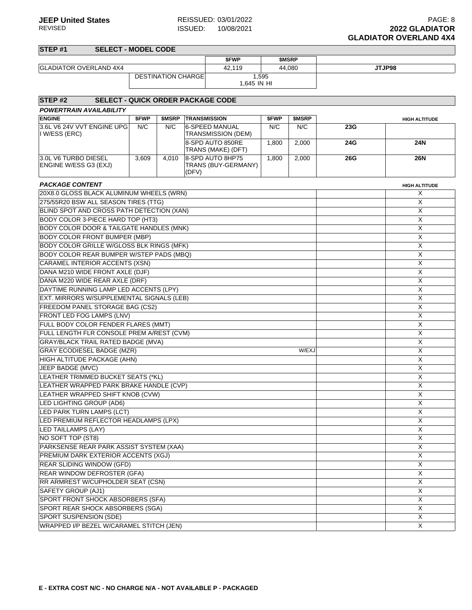| STEP <sub>#1</sub>                                  | <b>SELECT - MODEL CODE</b>               |       |                           |       |                                      |       |              |     |                         |
|-----------------------------------------------------|------------------------------------------|-------|---------------------------|-------|--------------------------------------|-------|--------------|-----|-------------------------|
|                                                     |                                          |       |                           |       | \$FWP                                |       | <b>SMSRP</b> |     |                         |
| <b>GLADIATOR OVERLAND 4X4</b>                       |                                          |       |                           |       | 42.119                               |       | 44,080       |     | JTJP98                  |
|                                                     |                                          |       | <b>DESTINATION CHARGE</b> |       | 1,595                                |       |              |     |                         |
|                                                     |                                          |       |                           |       | 1,645 IN HI                          |       |              |     |                         |
|                                                     |                                          |       |                           |       |                                      |       |              |     |                         |
| STEP <sub>#2</sub>                                  | <b>SELECT - QUICK ORDER PACKAGE CODE</b> |       |                           |       |                                      |       |              |     |                         |
| <b>POWERTRAIN AVAILABILITY</b>                      |                                          |       |                           |       |                                      |       |              |     |                         |
| <b>ENGINE</b>                                       |                                          | \$FWP | \$MSRP                    |       | <b>TRANSMISSION</b>                  | \$FWP | \$MSRP       |     | <b>HIGH ALTITUDE</b>    |
| 3.6L V6 24V VVT ENGINE UPG<br>I W/ESS (ERC)         |                                          | N/C   | N/C                       |       | 6-SPEED MANUAL<br>TRANSMISSION (DEM) | N/C   | N/C          | 23G |                         |
|                                                     |                                          |       |                           |       | 8-SPD AUTO 850RE                     | 1,800 | 2,000        | 24G | 24N                     |
|                                                     |                                          |       |                           |       | TRANS (MAKE) (DFT)                   |       |              |     |                         |
| 3.0L V6 TURBO DIESEL                                |                                          | 3,609 | 4,010                     |       | 8-SPD AUTO 8HP75                     | 1,800 | 2,000        | 26G | <b>26N</b>              |
| ENGINE W/ESS G3 (EXJ)                               |                                          |       |                           |       | TRANS (BUY-GERMANY)                  |       |              |     |                         |
|                                                     |                                          |       |                           | (DFV) |                                      |       |              |     |                         |
| <b>PACKAGE CONTENT</b>                              |                                          |       |                           |       |                                      |       |              |     | <b>HIGH ALTITUDE</b>    |
| 20X8.0 GLOSS BLACK ALUMINUM WHEELS (WRN)            |                                          |       |                           |       |                                      |       |              |     | Χ                       |
| 275/55R20 BSW ALL SEASON TIRES (TTG)                |                                          |       |                           |       |                                      |       |              |     | X                       |
| BLIND SPOT AND CROSS PATH DETECTION (XAN)           |                                          |       |                           |       |                                      |       |              |     | X                       |
| BODY COLOR 3-PIECE HARD TOP (HT3)                   |                                          |       |                           |       |                                      |       |              |     | X                       |
| <b>BODY COLOR DOOR &amp; TAILGATE HANDLES (MNK)</b> |                                          |       |                           |       |                                      |       |              |     | X                       |
| <b>BODY COLOR FRONT BUMPER (MBP)</b>                |                                          |       |                           |       |                                      |       |              |     | X                       |
| <b>BODY COLOR GRILLE W/GLOSS BLK RINGS (MFK)</b>    |                                          |       |                           |       |                                      |       |              |     | X                       |
| <b>BODY COLOR REAR BUMPER W/STEP PADS (MBQ)</b>     |                                          |       |                           |       |                                      |       |              |     | X                       |
| CARAMEL INTERIOR ACCENTS (XSN)                      |                                          |       |                           |       |                                      |       |              |     | $\overline{X}$          |
| DANA M210 WIDE FRONT AXLE (DJF)                     |                                          |       |                           |       |                                      |       |              |     | $\overline{X}$          |
| DANA M220 WIDE REAR AXLE (DRF)                      |                                          |       |                           |       |                                      | X     |              |     |                         |
| DAYTIME RUNNING LAMP LED ACCENTS (LPY)              |                                          |       |                           |       |                                      |       | X            |     |                         |
| EXT. MIRRORS W/SUPPLEMENTAL SIGNALS (LEB)           |                                          |       |                           |       |                                      |       |              |     | X                       |
| FREEDOM PANEL STORAGE BAG (CS2)                     |                                          |       |                           |       |                                      |       | X            |     |                         |
| <b>FRONT LED FOG LAMPS (LNV)</b>                    |                                          |       |                           |       |                                      |       |              |     | X                       |
| FULL BODY COLOR FENDER FLARES (MMT)                 |                                          |       |                           |       |                                      |       |              |     | X                       |
| FULL LENGTH FLR CONSOLE PREM A/REST (CVM)           |                                          |       |                           |       |                                      |       |              |     | X                       |
| GRAY/BLACK TRAIL RATED BADGE (MVA)                  |                                          |       |                           |       |                                      |       |              |     | X                       |
| <b>GRAY ECODIESEL BADGE (MZR)</b>                   |                                          |       |                           |       |                                      |       | W/EXJ        |     | $\overline{\mathsf{x}}$ |
| HIGH ALTITUDE PACKAGE (AHN)                         |                                          |       |                           |       |                                      |       |              |     | X                       |
| JEEP BADGE (MVC)                                    |                                          |       |                           |       |                                      |       |              |     | X                       |
| LEATHER TRIMMED BUCKET SEATS (*KL)                  |                                          |       |                           |       |                                      |       |              |     | X                       |
| LEATHER WRAPPED PARK BRAKE HANDLE (CVP)             |                                          |       |                           |       |                                      |       |              |     | $\times$                |
| LEATHER WRAPPED SHIFT KNOB (CVW)                    |                                          |       |                           |       |                                      |       |              |     | X                       |
| LED LIGHTING GROUP (AD6)                            |                                          |       |                           |       |                                      |       |              |     | X                       |
| LED PARK TURN LAMPS (LCT)                           |                                          |       |                           |       |                                      |       |              |     | Χ                       |
| LED PREMIUM REFLECTOR HEADLAMPS (LPX)               |                                          |       |                           |       |                                      |       |              |     | X                       |
| <b>LED TAILLAMPS (LAY)</b>                          |                                          |       |                           |       |                                      |       |              |     | $\mathsf X$             |
| NO SOFT TOP (ST8)                                   |                                          |       |                           |       |                                      |       |              |     | X                       |
| PARKSENSE REAR PARK ASSIST SYSTEM (XAA)             |                                          |       |                           |       |                                      |       |              |     | X                       |
| PREMIUM DARK EXTERIOR ACCENTS (XGJ)                 |                                          |       |                           |       |                                      |       |              |     | X                       |
| REAR SLIDING WINDOW (GFD)                           |                                          |       |                           |       |                                      |       |              |     | X                       |
| REAR WINDOW DEFROSTER (GFA)                         |                                          |       |                           |       |                                      |       |              |     | Χ                       |
| RR ARMREST W/CUPHOLDER SEAT (CSN)                   |                                          |       |                           |       |                                      |       |              |     | X                       |
| SAFETY GROUP (AJ1)                                  |                                          |       |                           |       |                                      |       |              |     | X                       |
| SPORT FRONT SHOCK ABSORBERS (SFA)                   |                                          |       |                           |       |                                      |       |              |     | X                       |
| SPORT REAR SHOCK ABSORBERS (SGA)                    |                                          |       |                           |       |                                      |       |              |     | X                       |
| SPORT SUSPENSION (SDE)                              |                                          |       |                           |       |                                      |       |              |     | X                       |
| WRAPPED I/P BEZEL W/CARAMEL STITCH (JEN)            |                                          |       |                           |       |                                      |       |              |     | X                       |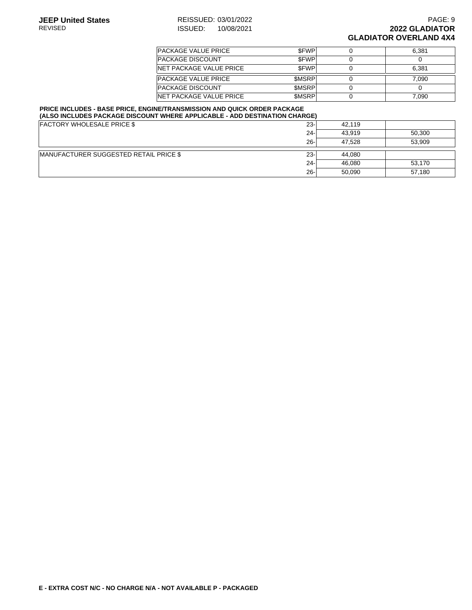| <b>PACKAGE VALUE PRICE</b>      | <b>SFWP</b>  | 6.381 |
|---------------------------------|--------------|-------|
| <b>PACKAGE DISCOUNT</b>         | <b>SFWP</b>  |       |
| <b>INET PACKAGE VALUE PRICE</b> | <b>SFWP</b>  | 6.381 |
| <b>PACKAGE VALUE PRICE</b>      | <b>SMSRP</b> | 7.090 |
| <b>PACKAGE DISCOUNT</b>         | <b>SMSRP</b> |       |
| <b>INET PACKAGE VALUE PRICE</b> | <b>SMSRP</b> | 7.090 |

#### **PRICE INCLUDES - BASE PRICE, ENGINE/TRANSMISSION AND QUICK ORDER PACKAGE (ALSO INCLUDES PACKAGE DISCOUNT WHERE APPLICABLE - ADD DESTINATION CHARGE)**

| <b>FACTORY WHOLESALE PRICE \$</b>      | $23 -$ | 42.119 |        |
|----------------------------------------|--------|--------|--------|
|                                        | $24 -$ | 43.919 | 50,300 |
|                                        | $26 -$ | 47.528 | 53.909 |
| MANUFACTURER SUGGESTED RETAIL PRICE \$ | $23 -$ | 44.080 |        |
|                                        | $24 -$ | 46,080 | 53,170 |
|                                        | $26 -$ | 50.090 | 57,180 |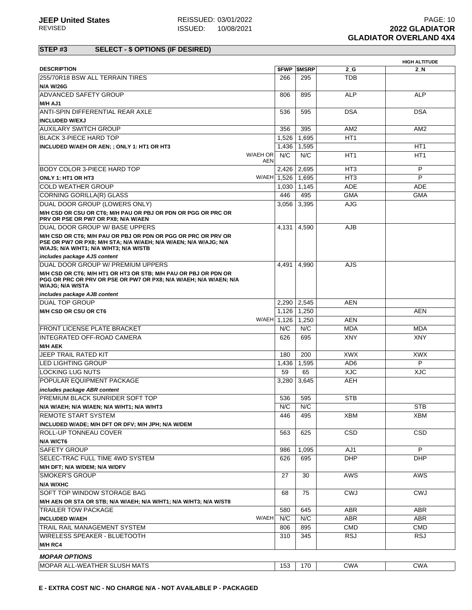|                                                                                                                                                                             |             |                          |                 | <b>HIGH ALTITUDE</b> |
|-----------------------------------------------------------------------------------------------------------------------------------------------------------------------------|-------------|--------------------------|-----------------|----------------------|
| <b>DESCRIPTION</b>                                                                                                                                                          |             | <b><i>SFWP SMSRP</i></b> | 2 G             | 2 N                  |
| 255/70R18 BSW ALL TERRAIN TIRES                                                                                                                                             | 266         | 295                      | <b>TDB</b>      |                      |
| <b>N/A W/26G</b>                                                                                                                                                            |             |                          |                 |                      |
| ADVANCED SAFETY GROUP                                                                                                                                                       | 806         | 895                      | <b>ALP</b>      | <b>ALP</b>           |
| M/H AJ1                                                                                                                                                                     |             |                          |                 |                      |
| ANTI-SPIN DIFFERENTIAL REAR AXLE                                                                                                                                            | 536         | 595                      | <b>DSA</b>      | <b>DSA</b>           |
| <b>INCLUDED W/EXJ</b>                                                                                                                                                       |             |                          |                 |                      |
| AUXILARY SWITCH GROUP                                                                                                                                                       | 356         | 395                      | AM <sub>2</sub> | AM <sub>2</sub>      |
| <b>BLACK 3-PIECE HARD TOP</b>                                                                                                                                               | 1,526       | 1,695                    | HT <sub>1</sub> |                      |
| INCLUDED W/AEH OR AEN; ; ONLY 1: HT1 OR HT3                                                                                                                                 | 1,436       | 1,595                    |                 | HT <sub>1</sub>      |
| W/AEH OR                                                                                                                                                                    | N/C         | N/C                      | HT <sub>1</sub> | HT <sub>1</sub>      |
|                                                                                                                                                                             | <b>AEN</b>  |                          |                 |                      |
| BODY COLOR 3-PIECE HARD TOP                                                                                                                                                 | 2,426       | 2,695                    | HT <sub>3</sub> | P                    |
| ONLY 1: HT1 OR HT3                                                                                                                                                          | W/AEH 1.526 | 1,695                    | HT <sub>3</sub> | P                    |
| <b>COLD WEATHER GROUP</b>                                                                                                                                                   | 1,030       | 1,145                    | <b>ADE</b>      | ADE                  |
| CORNING GORILLA(R) GLASS                                                                                                                                                    | 446         | 495                      | <b>GMA</b>      | <b>GMA</b>           |
| DUAL DOOR GROUP (LOWERS ONLY)                                                                                                                                               | 3,056       | 3,395                    | <b>AJG</b>      |                      |
| M/H CSD OR CSU OR CT6; M/H PAU OR PBJ OR PDN OR PGG OR PRC OR                                                                                                               |             |                          |                 |                      |
| PRV OR PSE OR PW7 OR PX8; N/A W/AEN                                                                                                                                         |             |                          |                 |                      |
| DUAL DOOR GROUP W/ BASE UPPERS                                                                                                                                              | 4,131       | 4,590                    | <b>AJB</b>      |                      |
| M/H CSD OR CT6; M/H PAU OR PBJ OR PDN OR PGG OR PRC OR PRV OR<br>PSE OR PW7 OR PX8; M/H STA; N/A W/AEH; N/A W/AEN; N/A W/AJG; N/A<br>W/AJS; N/A W/HT1; N/A W/HT3; N/A W/STB |             |                          |                 |                      |
| includes package AJS content                                                                                                                                                |             |                          |                 |                      |
| DUAL DOOR GROUP W/ PREMIUM UPPERS                                                                                                                                           | 4.491       | 4,990                    | AJS             |                      |
| M/H CSD OR CT6; M/H HT1 OR HT3 OR STB; M/H PAU OR PBJ OR PDN OR<br>PGG OR PRC OR PRV OR PSE OR PW7 OR PX8: N/A W/AEH: N/A W/AEN: N/A<br>W/AJG; N/A W/STA                    |             |                          |                 |                      |
| includes package AJB content                                                                                                                                                |             |                          |                 |                      |
| IDUAL TOP GROUP                                                                                                                                                             |             | 2,290 2,545              | <b>AEN</b>      |                      |
| M/H CSD OR CSU OR CT6                                                                                                                                                       |             | 1,126 1,250              |                 | <b>AEN</b>           |
|                                                                                                                                                                             | W/AEH 1,126 | 1,250                    | <b>AEN</b>      |                      |
| <b>FRONT LICENSE PLATE BRACKET</b>                                                                                                                                          | N/C         | N/C                      | <b>MDA</b>      | <b>MDA</b>           |
| INTEGRATED OFF-ROAD CAMERA                                                                                                                                                  | 626         | 695                      | <b>XNY</b>      | <b>XNY</b>           |
| <b>M/H AEK</b>                                                                                                                                                              |             |                          |                 |                      |
| JEEP TRAIL RATED KIT                                                                                                                                                        | 180         | 200                      | <b>XWX</b>      | <b>XWX</b>           |
| LED LIGHTING GROUP                                                                                                                                                          | 1,436       | 1,595                    | AD <sub>6</sub> | P                    |
| LOCKING LUG NUTS                                                                                                                                                            | 59          | 65                       | <b>XJC</b>      | <b>XJC</b>           |
| POPULAR EQUIPMENT PACKAGE                                                                                                                                                   | 3,280       | 3,645                    | AEH             |                      |
|                                                                                                                                                                             |             |                          |                 |                      |
| includes package ABR content                                                                                                                                                |             |                          |                 |                      |
| PREMIUM BLACK SUNRIDER SOFT TOP                                                                                                                                             | 536         | 595                      | <b>STB</b>      |                      |
| N/A W/AEH; N/A W/AEN; N/A W/HT1; N/A W/HT3                                                                                                                                  | N/C         | N/C                      |                 | <b>STB</b>           |
| REMOTE START SYSTEM                                                                                                                                                         | 446         | 495                      | <b>XBM</b>      | XBM                  |
| INCLUDED W/ADE; M/H DFT OR DFV; M/H JPH; N/A W/DEM                                                                                                                          |             |                          |                 |                      |
| <b>ROLL-UP TONNEAU COVER</b>                                                                                                                                                | 563         | 625                      | CSD             | <b>CSD</b>           |
| N/A W/CT6                                                                                                                                                                   |             |                          |                 |                      |
| <b>SAFETY GROUP</b>                                                                                                                                                         | 986         | 1,095                    | AJ1             | P                    |
| SELEC-TRAC FULL TIME 4WD SYSTEM                                                                                                                                             | 626         | 695                      | <b>DHP</b>      | DHP.                 |
| M/H DFT; N/A W/DEM; N/A W/DFV                                                                                                                                               |             |                          |                 |                      |
| <b>SMOKER'S GROUP</b>                                                                                                                                                       | 27          | 30                       | <b>AWS</b>      | <b>AWS</b>           |
| N/A W/XHC                                                                                                                                                                   |             |                          |                 |                      |
| SOFT TOP WINDOW STORAGE BAG                                                                                                                                                 | 68          | 75                       | <b>CWJ</b>      | <b>CWJ</b>           |
| M/H AEN OR STA OR STB; N/A W/AEH; N/A W/HT1; N/A W/HT3; N/A W/ST8                                                                                                           |             |                          |                 |                      |
| <b>TRAILER TOW PACKAGE</b>                                                                                                                                                  | 580         | 645                      | ABR             | ABR                  |
| W/AEH<br><b>INCLUDED W/AEH</b>                                                                                                                                              | N/C         | N/C                      | ABR             | <b>ABR</b>           |
| TRAIL RAIL MANAGEMENT SYSTEM                                                                                                                                                | 806         | 895                      | <b>CMD</b>      | <b>CMD</b>           |
| WIRELESS SPEAKER - BLUETOOTH                                                                                                                                                | 310         | 345                      | <b>RSJ</b>      | RSJ                  |
| M/H RC4                                                                                                                                                                     |             |                          |                 |                      |
|                                                                                                                                                                             |             |                          |                 |                      |
| <b>MOPAR OPTIONS</b>                                                                                                                                                        |             |                          |                 |                      |
| MOPAR ALL-WEATHER SLUSH MATS                                                                                                                                                | 153         | 170                      | <b>CWA</b>      | <b>CWA</b>           |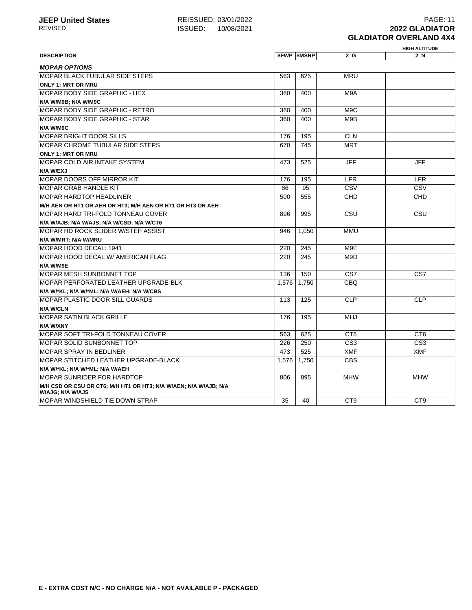# **ISSUED: 10/08/2021**

|                                                                                      | <b>HIGH ALTITUDE</b> |                          |                  |                 |  |  |
|--------------------------------------------------------------------------------------|----------------------|--------------------------|------------------|-----------------|--|--|
| <b>DESCRIPTION</b>                                                                   |                      | <b><i>SFWP SMSRP</i></b> | $2_G$            | 2 N             |  |  |
| <b>MOPAR OPTIONS</b>                                                                 |                      |                          |                  |                 |  |  |
| <b>MOPAR BLACK TUBULAR SIDE STEPS</b>                                                | 563                  | 625                      | <b>MRU</b>       |                 |  |  |
| <b>ONLY 1: MRT OR MRU</b>                                                            |                      |                          |                  |                 |  |  |
| MOPAR BODY SIDE GRAPHIC - HEX                                                        | 360                  | 400                      | M9A              |                 |  |  |
| N/A W/M9B; N/A W/M9C                                                                 |                      |                          |                  |                 |  |  |
| MOPAR BODY SIDE GRAPHIC - RETRO                                                      | 360                  | 400                      | M <sub>9</sub> C |                 |  |  |
| <b>MOPAR BODY SIDE GRAPHIC - STAR</b>                                                | 360                  | 400                      | M9B              |                 |  |  |
| N/A W/M9C                                                                            |                      |                          |                  |                 |  |  |
| <b>MOPAR BRIGHT DOOR SILLS</b>                                                       | 176                  | 195                      | <b>CLN</b>       |                 |  |  |
| MOPAR CHROME TUBULAR SIDE STEPS                                                      | 670                  | 745                      | <b>MRT</b>       |                 |  |  |
| <b>ONLY 1: MRT OR MRU</b>                                                            |                      |                          |                  |                 |  |  |
| <b>MOPAR COLD AIR INTAKE SYSTEM</b>                                                  | 473                  | 525                      | <b>JFF</b>       | <b>JFF</b>      |  |  |
| N/A W/EXJ                                                                            |                      |                          |                  |                 |  |  |
| <b>MOPAR DOORS OFF MIRROR KIT</b>                                                    | 176                  | 195                      | <b>LFR</b>       | <b>LFR</b>      |  |  |
| <b>MOPAR GRAB HANDLE KIT</b>                                                         | 86                   | 95                       | CSV              | CSV             |  |  |
| <b>MOPAR HARDTOP HEADLINER</b>                                                       | 500                  | 555                      | CHD              | <b>CHD</b>      |  |  |
| M/H AEN OR HT1 OR AEH OR HT3; M/H AEN OR HT1 OR HT3 OR AEH                           |                      |                          |                  |                 |  |  |
| MOPAR HARD TRI-FOLD TONNEAU COVER                                                    | 896                  | 995                      | CSU              | CSU             |  |  |
| N/A W/AJB; N/A W/AJS; N/A W/CSD; N/A W/CT6                                           |                      |                          |                  |                 |  |  |
| MOPAR HD ROCK SLIDER W/STEP ASSIST                                                   | 946                  | 1.050                    | <b>MMU</b>       |                 |  |  |
| N/A W/MRT; N/A W/MRU                                                                 |                      |                          |                  |                 |  |  |
| MOPAR HOOD DECAL: 1941                                                               | 220                  | 245                      | M9E              |                 |  |  |
| MOPAR HOOD DECAL W/ AMERICAN FLAG                                                    | 220                  | 245                      | M9D              |                 |  |  |
| N/A W/M9E                                                                            |                      |                          |                  |                 |  |  |
| MOPAR MESH SUNBONNET TOP                                                             | 136                  | 150                      | CS7              | CS7             |  |  |
| MOPAR PERFORATED LEATHER UPGRADE-BLK                                                 | 1,576                | 1,750                    | <b>CBQ</b>       |                 |  |  |
| N/A W/*KL; N/A W/*ML; N/A W/AEH; N/A W/CBS                                           |                      |                          |                  |                 |  |  |
| <b>MOPAR PLASTIC DOOR SILL GUARDS</b>                                                | 113                  | 125                      | CLP              | CLP             |  |  |
| <b>N/A W/CLN</b>                                                                     |                      |                          |                  |                 |  |  |
| <b>MOPAR SATIN BLACK GRILLE</b>                                                      | 176                  | 195                      | <b>MHJ</b>       |                 |  |  |
| N/A W/XNY                                                                            |                      |                          |                  |                 |  |  |
| MOPAR SOFT TRI-FOLD TONNEAU COVER                                                    | 563                  | 625                      | CT <sub>6</sub>  | CT <sub>6</sub> |  |  |
| MOPAR SOLID SUNBONNET TOP                                                            | 226                  | 250                      | CS <sub>3</sub>  | CS3             |  |  |
| <b>MOPAR SPRAY IN BEDLINER</b>                                                       | 473                  | 525                      | <b>XMF</b>       | <b>XMF</b>      |  |  |
| MOPAR STITCHED LEATHER UPGRADE-BLACK                                                 | 1,576                | 1,750                    | <b>CBS</b>       |                 |  |  |
| N/A W/*KL; N/A W/*ML; N/A W/AEH                                                      |                      |                          |                  |                 |  |  |
| <b>MOPAR SUNRIDER FOR HARDTOP</b>                                                    | 806                  | 895                      | <b>MHW</b>       | <b>MHW</b>      |  |  |
| M/H CSD OR CSU OR CT6; M/H HT1 OR HT3; N/A W/AEN; N/A W/AJB; N/A<br>W/AJG; N/A W/AJS |                      |                          |                  |                 |  |  |
| <b>MOPAR WINDSHIELD TIE DOWN STRAP</b>                                               | 35                   | 40                       | C <sub>T9</sub>  | CT <sub>9</sub> |  |  |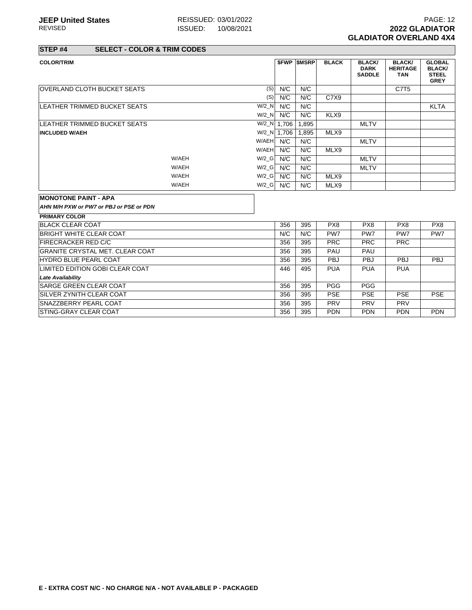**STEP #4 SELECT - COLOR & TRIM CODES**

| <b>COLOR/TRIM</b>                       |         |             | <b>SFWP SMSRP</b> | <b>BLACK</b> | <b>BLACK/</b><br><b>DARK</b><br><b>SADDLE</b> | <b>BLACK/</b><br><b>HERITAGE</b><br><b>TAN</b> | <b>GLOBAL</b><br><b>BLACK/</b><br><b>STEEL</b><br><b>GREY</b> |
|-----------------------------------------|---------|-------------|-------------------|--------------|-----------------------------------------------|------------------------------------------------|---------------------------------------------------------------|
| <b>OVERLAND CLOTH BUCKET SEATS</b>      | (S)     | N/C         | N/C               |              |                                               | C7T <sub>5</sub>                               |                                                               |
|                                         | (S)     | N/C         | N/C               | C7X9         |                                               |                                                |                                                               |
| LEATHER TRIMMED BUCKET SEATS            | W/2 N   | N/C         | N/C               |              |                                               |                                                | <b>KLTA</b>                                                   |
|                                         | $W/2$ N | N/C         | N/C               | KLX9         |                                               |                                                |                                                               |
| LEATHER TRIMMED BUCKET SEATS            |         | W/2_N 1.706 | 1.895             |              | <b>MLTV</b>                                   |                                                |                                                               |
| <b>INCLUDED W/AEH</b>                   |         | W/2_N 1.706 | 1,895             | MLX9         |                                               |                                                |                                                               |
|                                         | W/AEH   | N/C         | N/C               |              | <b>MLTV</b>                                   |                                                |                                                               |
|                                         | W/AEH   | N/C         | N/C               | MLX9         |                                               |                                                |                                                               |
| W/AEH                                   | $W/2_G$ | N/C         | N/C               |              | <b>MLTV</b>                                   |                                                |                                                               |
| W/AEH                                   | $W/2_G$ | N/C         | N/C               |              | <b>MLTV</b>                                   |                                                |                                                               |
| W/AEH                                   | $W/2_G$ | N/C         | N/C               | MLX9         |                                               |                                                |                                                               |
| W/AEH                                   | $W/2_G$ | N/C         | N/C               | MLX9         |                                               |                                                |                                                               |
| <b>MONOTONE PAINT - APA</b>             |         |             |                   |              |                                               |                                                |                                                               |
| AHN M/H PXW or PW7 or PBJ or PSE or PDN |         |             |                   |              |                                               |                                                |                                                               |
| <b>PRIMARY COLOR</b>                    |         |             |                   |              |                                               |                                                |                                                               |
| <b>BLACK CLEAR COAT</b>                 |         | 356         | 395               | PX8          | PX8                                           | PX8                                            | PX8                                                           |
| BRIGHT WHITE CLEAR COAT                 |         | N/C         | N/C               | PW7          | PW7                                           | PW7                                            | PW7                                                           |
| <b>FIRECRACKER RED C/C</b>              |         | 356         | 395               | <b>PRC</b>   | <b>PRC</b>                                    | <b>PRC</b>                                     |                                                               |
| <b>GRANITE CRYSTAL MET. CLEAR COAT</b>  |         | 356         | 395               | PAU          | PAU                                           |                                                |                                                               |
| <b>HYDRO BLUE PEARL COAT</b>            |         | 356         | 395               | <b>PBJ</b>   | <b>PBJ</b>                                    | PBJ                                            | PBJ                                                           |
| LIMITED EDITION GOBI CLEAR COAT         |         | 446         | 495               | <b>PUA</b>   | <b>PUA</b>                                    | <b>PUA</b>                                     |                                                               |
| <b>Late Availability</b>                |         |             |                   |              |                                               |                                                |                                                               |
| <b>SARGE GREEN CLEAR COAT</b>           |         | 356         | 395               | <b>PGG</b>   | <b>PGG</b>                                    |                                                |                                                               |
| <b>ISILVER ZYNITH CLEAR COAT</b>        |         | 356         | 395               | <b>PSE</b>   | <b>PSE</b>                                    | <b>PSE</b>                                     | <b>PSE</b>                                                    |
| <b>SNAZZBERRY PEARL COAT</b>            |         | 356         | 395               | <b>PRV</b>   | <b>PRV</b>                                    | PRV                                            |                                                               |
| <b>ISTING-GRAY CLEAR COAT</b>           |         | 356         | 395               | <b>PDN</b>   | <b>PDN</b>                                    | <b>PDN</b>                                     | <b>PDN</b>                                                    |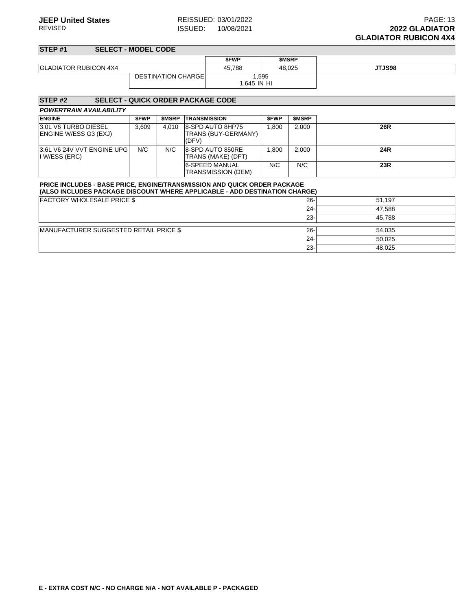#### **STEP #1 SELECT - MODEL CODE \$FWP \$MSRP** GLADIATOR RUBICON 4X4 **45,788** 48,025 **JTJS98** DESTINATION CHARGE 1,595 1,645 IN HI

| STEP <sub>#2</sub>                                                                                                                                            | <b>SELECT - QUICK ORDER PACKAGE CODE</b> |              |                                                  |             |        |            |  |  |
|---------------------------------------------------------------------------------------------------------------------------------------------------------------|------------------------------------------|--------------|--------------------------------------------------|-------------|--------|------------|--|--|
| <b>POWERTRAIN AVAILABILITY</b>                                                                                                                                |                                          |              |                                                  |             |        |            |  |  |
| <b>ENGINE</b>                                                                                                                                                 | <b>SFWP</b>                              | <b>SMSRP</b> | <b>TRANSMISSION</b>                              | <b>SFWP</b> | \$MSRP |            |  |  |
| 3.0L V6 TURBO DIESEL<br>ENGINE W/ESS G3 (EXJ)                                                                                                                 | 3,609                                    | 4.010        | 8-SPD AUTO 8HP75<br>TRANS (BUY-GERMANY)<br>(DFV) | 1,800       | 2,000  | 26R        |  |  |
| 3.6L V6 24V VVT ENGINE UPG<br>I W/ESS (ERC)                                                                                                                   | N/C                                      | N/C          | 8-SPD AUTO 850RE<br> TRANS (MAKE) (DFT)          | 1,800       | 2,000  | <b>24R</b> |  |  |
|                                                                                                                                                               |                                          |              | 6-SPEED MANUAL<br>TRANSMISSION (DEM)             | N/C         | N/C    | 23R        |  |  |
| <b>PRICE INCLUDES - BASE PRICE, ENGINE/TRANSMISSION AND QUICK ORDER PACKAGE</b><br>(ALSO INCLUDES PACKAGE DISCOUNT WHERE APPLICABLE - ADD DESTINATION CHARGE) |                                          |              |                                                  |             |        |            |  |  |
| <b>FACTORY WHOLESALE PRICE \$</b>                                                                                                                             |                                          |              |                                                  |             | $26 -$ | 51,197     |  |  |
|                                                                                                                                                               |                                          |              |                                                  |             | $24 -$ | 47,588     |  |  |
|                                                                                                                                                               |                                          |              |                                                  |             | $23 -$ | 45.788     |  |  |
| MANUFACTURER SUGGESTED RETAIL PRICE \$                                                                                                                        |                                          |              |                                                  |             | $26 -$ | 54,035     |  |  |
|                                                                                                                                                               |                                          |              |                                                  |             | $24 -$ | 50,025     |  |  |
|                                                                                                                                                               |                                          |              |                                                  |             | $23 -$ | 48,025     |  |  |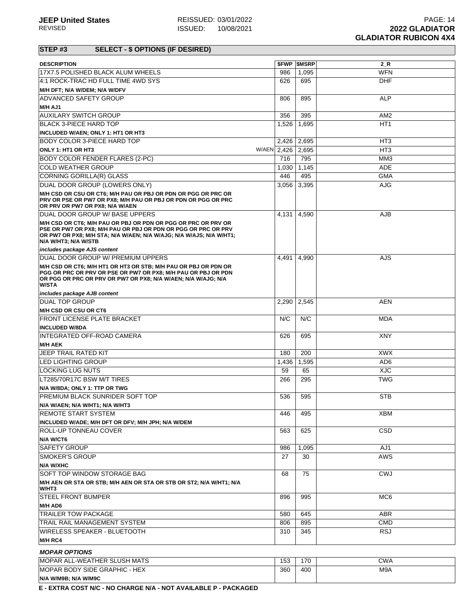| <b>DESCRIPTION</b>                                                                                                                                                                                                                                            |             | <b><i>SFWP SMSRP</i></b> | $2_R$           |
|---------------------------------------------------------------------------------------------------------------------------------------------------------------------------------------------------------------------------------------------------------------|-------------|--------------------------|-----------------|
| 17X7.5 POLISHED BLACK ALUM WHEELS                                                                                                                                                                                                                             | 986         | 1,095                    | <b>WFN</b>      |
| 4:1 ROCK-TRAC HD FULL TIME 4WD SYS                                                                                                                                                                                                                            | 626         | 695                      | <b>DHF</b>      |
| M/H DFT; N/A W/DEM; N/A W/DFV                                                                                                                                                                                                                                 |             |                          |                 |
| <b>ADVANCED SAFETY GROUP</b>                                                                                                                                                                                                                                  | 806         | 895                      | <b>ALP</b>      |
| M/H AJ1                                                                                                                                                                                                                                                       |             |                          |                 |
| <b>AUXILARY SWITCH GROUP</b>                                                                                                                                                                                                                                  | 356         | 395                      | AM <sub>2</sub> |
| BLACK 3-PIECE HARD TOP                                                                                                                                                                                                                                        | 1,526       | 1,695                    | HT <sub>1</sub> |
| INCLUDED W/AEN; ONLY 1: HT1 OR HT3                                                                                                                                                                                                                            |             |                          |                 |
| <b>BODY COLOR 3-PIECE HARD TOP</b>                                                                                                                                                                                                                            | 2,426       | 2,695                    | HT <sub>3</sub> |
| ONLY 1: HT1 OR HT3                                                                                                                                                                                                                                            | W/AEN 2,426 | 2,695                    | HT <sub>3</sub> |
| <b>BODY COLOR FENDER FLARES (2-PC)</b>                                                                                                                                                                                                                        | 716         | 795                      | MM <sub>3</sub> |
| <b>COLD WEATHER GROUP</b>                                                                                                                                                                                                                                     | 1,030       | 1,145                    | <b>ADE</b>      |
| CORNING GORILLA(R) GLASS                                                                                                                                                                                                                                      | 446         | 495                      | <b>GMA</b>      |
| DUAL DOOR GROUP (LOWERS ONLY)                                                                                                                                                                                                                                 | 3,056       | 3,395                    | <b>AJG</b>      |
| M/H CSD OR CSU OR CT6; M/H PAU OR PBJ OR PDN OR PGG OR PRC OR<br>PRV OR PSE OR PW7 OR PX8; M/H PAU OR PBJ OR PDN OR PGG OR PRC<br>OR PRV OR PW7 OR PX8; N/A W/AEN                                                                                             |             |                          |                 |
| DUAL DOOR GROUP W/ BASE UPPERS                                                                                                                                                                                                                                | 4,131       | 4,590                    | <b>AJB</b>      |
| M/H CSD OR CT6; M/H PAU OR PBJ OR PDN OR PGG OR PRC OR PRV OR<br>PSE OR PW7 OR PX8; M/H PAU OR PBJ OR PDN OR PGG OR PRC OR PRV<br>OR PW7 OR PX8; M/H STA; N/A W/AEN; N/A W/AJG; N/A W/AJS; N/A W/HT1;<br>N/A W/HT3; N/A W/STB<br>includes package AJS content |             |                          |                 |
| DUAL DOOR GROUP W/ PREMIUM UPPERS                                                                                                                                                                                                                             | 4,491       | 4,990                    | AJS             |
| M/H CSD OR CT6; M/H HT1 OR HT3 OR STB; M/H PAU OR PBJ OR PDN OR<br>PGG OR PRC OR PRV OR PSE OR PW7 OR PX8; M/H PAU OR PBJ OR PDN<br>OR PGG OR PRC OR PRV OR PW7 OR PX8; N/A W/AEN; N/A W/AJG; N/A<br><b>W/STA</b>                                             |             |                          |                 |
| includes package AJB content                                                                                                                                                                                                                                  |             |                          |                 |
| <b>DUAL TOP GROUP</b>                                                                                                                                                                                                                                         | 2,290       | 2,545                    | AEN             |
| M/H CSD OR CSU OR CT6                                                                                                                                                                                                                                         |             |                          |                 |
| <b>FRONT LICENSE PLATE BRACKET</b>                                                                                                                                                                                                                            | N/C         | N/C                      | <b>MDA</b>      |
| <b>INCLUDED W/8DA</b>                                                                                                                                                                                                                                         |             |                          |                 |
| INTEGRATED OFF-ROAD CAMERA<br><b>M/H AEK</b>                                                                                                                                                                                                                  | 626         | 695                      | <b>XNY</b>      |
| <b>JEEP TRAIL RATED KIT</b>                                                                                                                                                                                                                                   | 180         | 200                      | <b>XWX</b>      |
| <b>LED LIGHTING GROUP</b>                                                                                                                                                                                                                                     | 1,436       | 1,595                    | AD <sub>6</sub> |
| <b>LOCKING LUG NUTS</b>                                                                                                                                                                                                                                       | 59          | 65                       | <b>XJC</b>      |
| LT285/70R17C BSW M/T TIRES                                                                                                                                                                                                                                    | 266         | 295                      | <b>TWG</b>      |
| N/A W/8DA; ONLY 1: TTP OR TWG                                                                                                                                                                                                                                 |             |                          |                 |
| PREMIUM BLACK SUNRIDER SOFT TOP                                                                                                                                                                                                                               | 536         | 595                      | <b>STB</b>      |
| N/A W/AEN; N/A W/HT1; N/A W/HT3                                                                                                                                                                                                                               |             |                          |                 |
| <b>REMOTE START SYSTEM</b>                                                                                                                                                                                                                                    | 446         | 495                      | <b>XBM</b>      |
| INCLUDED W/ADE; M/H DFT OR DFV; M/H JPH; N/A W/DEM                                                                                                                                                                                                            |             |                          |                 |
| <b>ROLL-UP TONNEAU COVER</b>                                                                                                                                                                                                                                  | 563         | 625                      | <b>CSD</b>      |
| N/A W/CT6                                                                                                                                                                                                                                                     |             |                          |                 |
| <b>SAFETY GROUP</b>                                                                                                                                                                                                                                           | 986         | 1,095                    | AJ1             |
| <b>SMOKER'S GROUP</b>                                                                                                                                                                                                                                         | 27          | 30                       | <b>AWS</b>      |
| N/A W/XHC                                                                                                                                                                                                                                                     |             |                          |                 |
| SOFT TOP WINDOW STORAGE BAG                                                                                                                                                                                                                                   | 68          | 75                       | <b>CWJ</b>      |
| M/H AEN OR STA OR STB; M/H AEN OR STA OR STB OR ST2; N/A W/HT1; N/A                                                                                                                                                                                           |             |                          |                 |
| W/HT3                                                                                                                                                                                                                                                         |             |                          |                 |
| <b>STEEL FRONT BUMPER</b>                                                                                                                                                                                                                                     | 896         | 995                      | MC <sub>6</sub> |
| M/H AD6                                                                                                                                                                                                                                                       |             |                          |                 |
| <b>TRAILER TOW PACKAGE</b>                                                                                                                                                                                                                                    | 580         | 645                      | <b>ABR</b>      |
| TRAIL RAIL MANAGEMENT SYSTEM                                                                                                                                                                                                                                  | 806         | 895                      | <b>CMD</b>      |
| WIRELESS SPEAKER - BLUETOOTH<br>M/H RC4                                                                                                                                                                                                                       | 310         | 345                      | <b>RSJ</b>      |
|                                                                                                                                                                                                                                                               |             |                          |                 |
| <b>MOPAR OPTIONS</b><br>MOPAR ALL-WEATHER SLUSH MATS                                                                                                                                                                                                          | 153         | 170                      | <b>CWA</b>      |
| <b>MOPAR BODY SIDE GRAPHIC - HEX</b>                                                                                                                                                                                                                          | 360         | 400                      | M9A             |
| N/A W/M9B; N/A W/M9C                                                                                                                                                                                                                                          |             |                          |                 |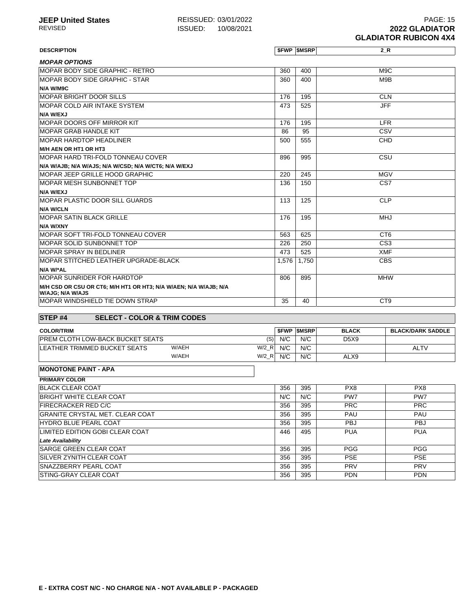| <b>DESCRIPTION</b>                                                                   |       | <b>SFWP SMSRP</b> | 2 R              |
|--------------------------------------------------------------------------------------|-------|-------------------|------------------|
| <b>MOPAR OPTIONS</b>                                                                 |       |                   |                  |
| MOPAR BODY SIDE GRAPHIC - RETRO                                                      | 360   | 400               | M <sub>9</sub> C |
| MOPAR BODY SIDE GRAPHIC - STAR                                                       | 360   | 400               | M9B              |
| N/A W/M9C                                                                            |       |                   |                  |
| <b>MOPAR BRIGHT DOOR SILLS</b>                                                       | 176   | 195               | <b>CLN</b>       |
| <b>MOPAR COLD AIR INTAKE SYSTEM</b>                                                  | 473   | 525               | <b>JFF</b>       |
| N/A W/EXJ                                                                            |       |                   |                  |
| <b>MOPAR DOORS OFF MIRROR KIT</b>                                                    | 176   | 195               | <b>LFR</b>       |
| <b>MOPAR GRAB HANDLE KIT</b>                                                         | 86    | 95                | CSV              |
| <b>MOPAR HARDTOP HEADLINER</b>                                                       | 500   | 555               | CHD              |
| M/H AEN OR HT1 OR HT3                                                                |       |                   |                  |
| MOPAR HARD TRI-FOLD TONNEAU COVER                                                    | 896   | 995               | CSU              |
| N/A W/AJB; N/A W/AJS; N/A W/CSD; N/A W/CT6; N/A W/EXJ                                |       |                   |                  |
| MOPAR JEEP GRILLE HOOD GRAPHIC                                                       | 220   | 245               | <b>MGV</b>       |
| <b>MOPAR MESH SUNBONNET TOP</b>                                                      | 136   | 150               | CS7              |
| N/A W/EXJ                                                                            |       |                   |                  |
| <b>MOPAR PLASTIC DOOR SILL GUARDS</b>                                                | 113   | 125               | <b>CLP</b>       |
| <b>N/A W/CLN</b>                                                                     |       |                   |                  |
| <b>MOPAR SATIN BLACK GRILLE</b>                                                      | 176   | 195               | <b>MHJ</b>       |
| N/A W/XNY                                                                            |       |                   |                  |
| MOPAR SOFT TRI-FOLD TONNEAU COVER                                                    | 563   | 625               | CT <sub>6</sub>  |
| MOPAR SOLID SUNBONNET TOP                                                            | 226   | 250               | CS <sub>3</sub>  |
| MOPAR SPRAY IN BEDLINER                                                              | 473   | 525               | <b>XMF</b>       |
| MOPAR STITCHED LEATHER UPGRADE-BLACK                                                 | 1,576 | 1,750             | <b>CBS</b>       |
| N/A W/*AL                                                                            |       |                   |                  |
| <b>MOPAR SUNRIDER FOR HARDTOP</b>                                                    | 806   | 895               | <b>MHW</b>       |
| M/H CSD OR CSU OR CT6; M/H HT1 OR HT3; N/A W/AEN; N/A W/AJB; N/A<br>W/AJG; N/A W/AJS |       |                   |                  |
| <b>IMOPAR WINDSHIELD TIE DOWN STRAP</b>                                              | 35    | 40                | C <sub>T9</sub>  |

# **STEP #4 SELECT - COLOR & TRIM CODES**

| <b>COLOR/TRIM</b>                        |       |                    | <b>SFWP</b> | <b>SMSRP</b> | <b>BLACK</b> | <b>BLACK/DARK SADDLE</b> |
|------------------------------------------|-------|--------------------|-------------|--------------|--------------|--------------------------|
| <b>IPREM CLOTH LOW-BACK BUCKET SEATS</b> |       | (S)                | N/C         | N/C          | <b>D5X9</b>  |                          |
| LEATHER TRIMMED BUCKET SEATS             | W/AEH | $W/2$ R            | N/C         | N/C          |              | <b>ALTV</b>              |
|                                          | W/AEH | $W/2$ <sub>R</sub> | N/C         | N/C          | ALX9         |                          |

### **MONOTONE PAINT - APA**

| <b>PRIMARY COLOR</b>             |     |     |            |            |
|----------------------------------|-----|-----|------------|------------|
| <b>BLACK CLEAR COAT</b>          | 356 | 395 | PX8        | PX8        |
| <b>BRIGHT WHITE CLEAR COAT</b>   | N/C | N/C | PW7        | PW7        |
| <b>FIRECRACKER RED C/C</b>       | 356 | 395 | <b>PRC</b> | <b>PRC</b> |
| GRANITE CRYSTAL MET. CLEAR COAT  | 356 | 395 | PAU        | PAU        |
| <b>HYDRO BLUE PEARL COAT</b>     | 356 | 395 | <b>PBJ</b> | <b>PBJ</b> |
| LIMITED EDITION GOBI CLEAR COAT  | 446 | 495 | <b>PUA</b> | <b>PUA</b> |
| <b>Late Availability</b>         |     |     |            |            |
| <b>SARGE GREEN CLEAR COAT</b>    | 356 | 395 | <b>PGG</b> | <b>PGG</b> |
| <b>ISILVER ZYNITH CLEAR COAT</b> | 356 | 395 | <b>PSE</b> | <b>PSE</b> |
| <b>SNAZZBERRY PEARL COAT</b>     | 356 | 395 | <b>PRV</b> | PRV        |
| <b>ISTING-GRAY CLEAR COAT</b>    | 356 | 395 | <b>PDN</b> | <b>PDN</b> |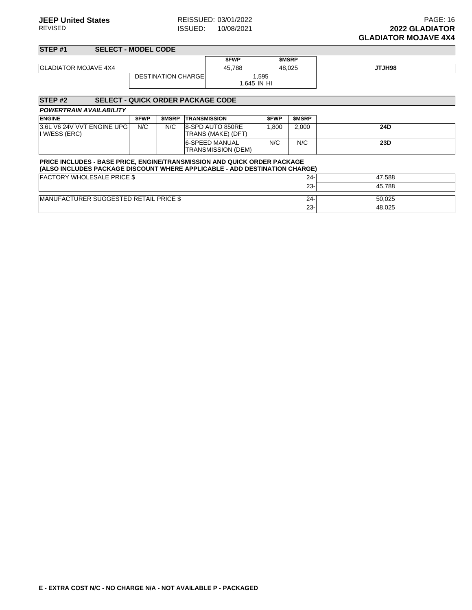23- 48,025

| STEP <sub>#1</sub>          |  | <b>SELECT - MODEL CODE</b> |             |               |  |
|-----------------------------|--|----------------------------|-------------|---------------|--|
|                             |  |                            | <b>SFWP</b> | <b>SMSRP</b>  |  |
| <b>GLADIATOR MOJAVE 4X4</b> |  | 45.788                     | 48.025      | <b>SPHLTL</b> |  |
|                             |  | <b>DESTINATION CHARGEI</b> | 1,595       |               |  |
|                             |  |                            | 1.645 IN HI |               |  |

#### **STEP #2 SELECT - QUICK ORDER PACKAGE CODE POWERTRAIN AVAILABILITY ENGINE \$FWP \$MSRP TRANSMISSION \$FWP \$MSRP** 3.6L V6 24V VVT ENGINE UPG I W/ESS (ERC) N/C N/C 8-SPD AUTO 850RE TRANS (MAKE) (DFT) 1,800 2,000 **24D** 6-SPEED MANUAL TRANSMISSION (DEM) N/C N/C **23D PRICE INCLUDES - BASE PRICE, ENGINE/TRANSMISSION AND QUICK ORDER PACKAGE (ALSO INCLUDES PACKAGE DISCOUNT WHERE APPLICABLE - ADD DESTINATION CHARGE)** FACTORY WHOLESALE PRICE \$ 24- 47,588 23- 45,788 MANUFACTURER SUGGESTED RETAIL PRICE \$ 24- 50,025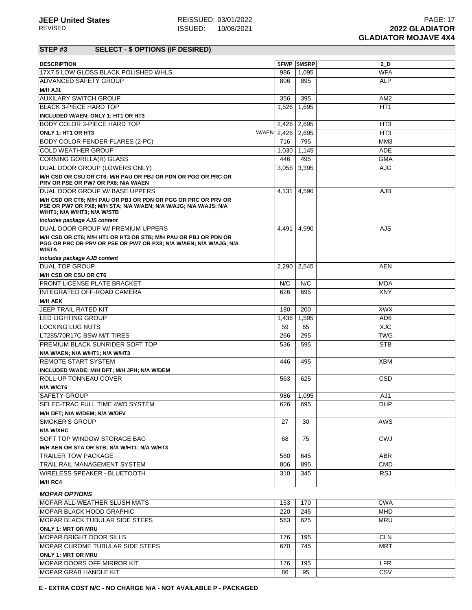| <b>DESCRIPTION</b>                                                                                                                                               |             | <b><i>SFWP SMSRP</i></b> | $2_D$           |
|------------------------------------------------------------------------------------------------------------------------------------------------------------------|-------------|--------------------------|-----------------|
| 17X7.5 LOW GLOSS BLACK POLISHED WHLS                                                                                                                             | 986         | 1,095                    | <b>WFA</b>      |
| <b>ADVANCED SAFETY GROUP</b>                                                                                                                                     | 806         | 895                      | <b>ALP</b>      |
| M/H AJ1                                                                                                                                                          |             |                          |                 |
| <b>AUXILARY SWITCH GROUP</b>                                                                                                                                     | 356         | 395                      | AM <sub>2</sub> |
| BLACK 3-PIECE HARD TOP                                                                                                                                           | 1,526       | 1,695                    | HT <sub>1</sub> |
| INCLUDED W/AEN; ONLY 1: HT1 OR HT3                                                                                                                               |             |                          |                 |
| <b>BODY COLOR 3-PIECE HARD TOP</b>                                                                                                                               |             | 2,426 2,695              | HT3             |
|                                                                                                                                                                  |             |                          |                 |
| ONLY 1: HT1 OR HT3                                                                                                                                               | W/AEN 2,426 | 2,695                    | HT <sub>3</sub> |
| <b>BODY COLOR FENDER FLARES (2-PC)</b>                                                                                                                           | 716         | 795                      | MM <sub>3</sub> |
| <b>COLD WEATHER GROUP</b>                                                                                                                                        | 1,030       | 1,145                    | <b>ADE</b>      |
| CORNING GORILLA(R) GLASS                                                                                                                                         | 446         | 495                      | <b>GMA</b>      |
| DUAL DOOR GROUP (LOWERS ONLY)                                                                                                                                    | 3,056       | 3,395                    | <b>AJG</b>      |
| M/H CSD OR CSU OR CT6; M/H PAU OR PBJ OR PDN OR PGG OR PRC OR<br>PRV OR PSE OR PW7 OR PX8; N/A W/AEN                                                             |             |                          |                 |
| DUAL DOOR GROUP W/ BASE UPPERS                                                                                                                                   | 4,131       | 4,590                    | AJB             |
| M/H CSD OR CT6; M/H PAU OR PBJ OR PDN OR PGG OR PRC OR PRV OR<br>PSE OR PW7 OR PX8; M/H STA; N/A W/AEN; N/A W/AJG; N/A W/AJS; N/A<br>W/HT1; N/A W/HT3; N/A W/STB |             |                          |                 |
| includes package AJS content                                                                                                                                     |             |                          |                 |
| DUAL DOOR GROUP W/ PREMIUM UPPERS                                                                                                                                | 4,491       | 4,990                    | AJS.            |
| M/H CSD OR CT6; M/H HT1 OR HT3 OR STB; M/H PAU OR PBJ OR PDN OR<br>PGG OR PRC OR PRV OR PSE OR PW7 OR PX8; N/A W/AEN; N/A W/AJG; N/A<br><b>W/STA</b>             |             |                          |                 |
| includes package AJB content                                                                                                                                     |             |                          |                 |
| <b>DUAL TOP GROUP</b>                                                                                                                                            | 2,290       | 2,545                    | AEN             |
| M/H CSD OR CSU OR CT6                                                                                                                                            |             |                          |                 |
| <b>FRONT LICENSE PLATE BRACKET</b>                                                                                                                               | N/C         | N/C                      | <b>MDA</b>      |
| <b>INTEGRATED OFF-ROAD CAMERA</b>                                                                                                                                | 626         | 695                      | <b>XNY</b>      |
| <b>M/H AEK</b>                                                                                                                                                   |             |                          |                 |
| JEEP TRAIL RATED KIT                                                                                                                                             | 180         | 200                      | <b>XWX</b>      |
| <b>LED LIGHTING GROUP</b>                                                                                                                                        | 1,436       | 1,595                    | AD <sub>6</sub> |
| LOCKING LUG NUTS                                                                                                                                                 | 59          | 65                       | <b>XJC</b>      |
| LT285/70R17C BSW M/T TIRES                                                                                                                                       | 266         | 295                      | <b>TWG</b>      |
| <b>PREMIUM BLACK SUNRIDER SOFT TOP</b>                                                                                                                           | 536         | 595                      | <b>STB</b>      |
|                                                                                                                                                                  |             |                          |                 |
| N/A W/AEN; N/A W/HT1; N/A W/HT3<br><b>REMOTE START SYSTEM</b>                                                                                                    | 446         | 495                      | <b>XBM</b>      |
|                                                                                                                                                                  |             |                          |                 |
| INCLUDED W/ADE; M/H DFT; M/H JPH; N/A W/DEM                                                                                                                      |             |                          |                 |
| <b>ROLL-UP TONNEAU COVER</b>                                                                                                                                     | 563         | 625                      | CSD             |
| N/A W/CT6                                                                                                                                                        |             |                          |                 |
| <b>SAFETY GROUP</b>                                                                                                                                              | 986         | 1,095                    | AJ1             |
| SELEC-TRAC FULL TIME 4WD SYSTEM                                                                                                                                  | 626         | 695                      | <b>DHP</b>      |
| M/H DFT; N/A W/DEM; N/A W/DFV                                                                                                                                    |             |                          |                 |
| <b>SMOKER'S GROUP</b>                                                                                                                                            | 27          | 30                       | AWS             |
| <b>N/A W/XHC</b>                                                                                                                                                 |             |                          |                 |
| SOFT TOP WINDOW STORAGE BAG                                                                                                                                      | 68          | 75                       | <b>CWJ</b>      |
| M/H AEN OR STA OR STB; N/A W/HT1; N/A W/HT3                                                                                                                      |             |                          |                 |
| <b>TRAILER TOW PACKAGE</b>                                                                                                                                       | 580         | 645                      | <b>ABR</b>      |
| TRAIL RAIL MANAGEMENT SYSTEM                                                                                                                                     | 806         | 895                      | <b>CMD</b>      |
| <b>WIRELESS SPEAKER - BLUETOOTH</b>                                                                                                                              | 310         | 345                      | <b>RSJ</b>      |
| M/H RC4                                                                                                                                                          |             |                          |                 |
|                                                                                                                                                                  |             |                          |                 |
| <b>MOPAR OPTIONS</b>                                                                                                                                             |             |                          |                 |
| MOPAR ALL-WEATHER SLUSH MATS                                                                                                                                     | 153         | 170                      | <b>CWA</b>      |
| <b>IMOPAR BLACK HOOD GRAPHIC</b>                                                                                                                                 | 220         | 245                      | <b>MHD</b>      |
| MOPAR BLACK TUBULAR SIDE STEPS                                                                                                                                   | 563         | 625                      | <b>MRU</b>      |
| <b>ONLY 1: MRT OR MRU</b>                                                                                                                                        |             |                          |                 |
| <b>MOPAR BRIGHT DOOR SILLS</b>                                                                                                                                   | 176         | 195                      | <b>CLN</b>      |
| <b>MOPAR CHROME TUBULAR SIDE STEPS</b>                                                                                                                           | 670         | 745                      | MRT             |
| <b>ONLY 1: MRT OR MRU</b>                                                                                                                                        |             |                          |                 |
| <b>MOPAR DOORS OFF MIRROR KIT</b>                                                                                                                                | 176         | 195                      | <b>LFR</b>      |
| MOPAR GRAB HANDLE KIT                                                                                                                                            | 86          | 95                       | CSV             |
|                                                                                                                                                                  |             |                          |                 |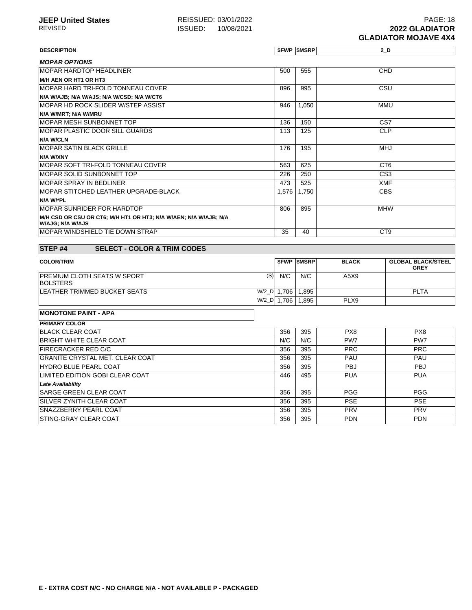**Late Availability**

| <b>DESCRIPTION</b>                                                                   |       |               | <b><i>SFWP SMSRP</i></b> |              | 2 D                                      |  |
|--------------------------------------------------------------------------------------|-------|---------------|--------------------------|--------------|------------------------------------------|--|
| <b>MOPAR OPTIONS</b>                                                                 |       |               |                          |              |                                          |  |
| <b>MOPAR HARDTOP HEADLINER</b>                                                       |       | 500           | 555                      |              | <b>CHD</b>                               |  |
| M/H AEN OR HT1 OR HT3                                                                |       |               |                          |              |                                          |  |
| MOPAR HARD TRI-FOLD TONNEAU COVER                                                    |       | 896           | 995                      |              | CSU                                      |  |
| N/A W/AJB; N/A W/AJS; N/A W/CSD; N/A W/CT6                                           |       |               |                          |              |                                          |  |
| MOPAR HD ROCK SLIDER W/STEP ASSIST                                                   |       | 946           | 1.050                    |              | <b>MMU</b>                               |  |
| N/A W/MRT; N/A W/MRU                                                                 |       |               |                          |              |                                          |  |
| MOPAR MESH SUNBONNET TOP                                                             |       | 136           | 150                      |              | CS7                                      |  |
| <b>IMOPAR PLASTIC DOOR SILL GUARDS</b>                                               |       | 113           | 125                      |              | <b>CLP</b>                               |  |
| <b>N/A W/CLN</b>                                                                     |       |               |                          |              |                                          |  |
| <b>MOPAR SATIN BLACK GRILLE</b>                                                      |       | 176           | 195                      |              | <b>MHJ</b>                               |  |
| N/A W/XNY                                                                            |       |               |                          |              |                                          |  |
| IMOPAR SOFT TRI-FOLD TONNEAU COVER                                                   |       | 563           | 625                      |              | CT <sub>6</sub>                          |  |
| MOPAR SOLID SUNBONNET TOP                                                            |       | 226           | 250                      |              | CS <sub>3</sub>                          |  |
| <b>MOPAR SPRAY IN BEDLINER</b>                                                       |       | 473           | 525                      | <b>XMF</b>   |                                          |  |
| MOPAR STITCHED LEATHER UPGRADE-BLACK                                                 | 1,576 |               | 1.750                    |              | <b>CBS</b>                               |  |
| N/A W/*PL                                                                            |       |               |                          |              |                                          |  |
| <b>MOPAR SUNRIDER FOR HARDTOP</b>                                                    |       | 806           | 895                      |              | <b>MHW</b>                               |  |
| M/H CSD OR CSU OR CT6; M/H HT1 OR HT3; N/A W/AEN; N/A W/AJB; N/A<br>W/AJG; N/A W/AJS |       |               |                          |              |                                          |  |
| MOPAR WINDSHIELD TIE DOWN STRAP                                                      |       | 35            | 40                       |              | CT <sub>9</sub>                          |  |
| STEP <sub>#4</sub><br><b>SELECT - COLOR &amp; TRIM CODES</b>                         |       |               |                          |              |                                          |  |
|                                                                                      |       |               |                          |              |                                          |  |
| <b>COLOR/TRIM</b>                                                                    |       |               | <b>SFWP SMSRP</b>        | <b>BLACK</b> | <b>GLOBAL BLACK/STEEL</b><br><b>GREY</b> |  |
| PREMIUM CLOTH SEATS W SPORT<br><b>BOLSTERS</b>                                       | (S)   | N/C           | N/C                      | A5X9         |                                          |  |
| LEATHER TRIMMED BUCKET SEATS                                                         |       |               | W/2_D 1,706 1,895        |              | <b>PLTA</b>                              |  |
|                                                                                      |       | $W/Z_D$ 1.706 | 1.895                    | PLX9         |                                          |  |
| <b>MONOTONE PAINT - APA</b>                                                          |       |               |                          |              |                                          |  |
| <b>PRIMARY COLOR</b>                                                                 |       |               |                          |              |                                          |  |
| <b>BLACK CLEAR COAT</b>                                                              |       | 356           | 395                      | PX8          | PX8                                      |  |
| BRIGHT WHITE CLEAR COAT                                                              |       | N/C           | N/C                      | PW7          | PW7                                      |  |
| <b>FIRECRACKER RED C/C</b>                                                           |       | 356           | 395                      | <b>PRC</b>   | <b>PRC</b>                               |  |
| <b>GRANITE CRYSTAL MET. CLEAR COAT</b>                                               |       | 356           | 395                      | PAU          | PAU                                      |  |
| <b>HYDRO BLUE PEARL COAT</b>                                                         |       | 356           | 395                      | <b>PBJ</b>   | <b>PBJ</b>                               |  |
| LIMITED EDITION GOBI CLEAR COAT                                                      |       | 446           | 495                      | <b>PUA</b>   | <b>PUA</b>                               |  |

SARGE GREEN CLEAR COAT **356 395 PGG** PGG PGG SILVER ZYNITH CLEAR COAT PSE PSE PSE SNAZZBERRY PEARL COAT 356 395 PRV PRV STING-GRAY CLEAR COAT **356 395 PDN** PDN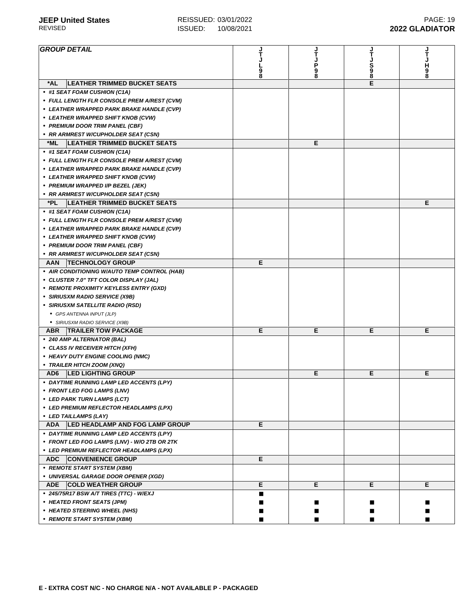| <b>GROUP DETAIL</b>                           | J<br>T      | J<br>T      |         |             |
|-----------------------------------------------|-------------|-------------|---------|-------------|
|                                               |             |             |         | J<br>T      |
|                                               |             |             |         |             |
|                                               | L<br>9<br>8 | P<br>9<br>8 | S<br>98 | H<br>9<br>8 |
| <b>LEATHER TRIMMED BUCKET SEATS</b><br>*AL    |             |             | E       |             |
| • #1 SEAT FOAM CUSHION (C1A)                  |             |             |         |             |
| • FULL LENGTH FLR CONSOLE PREM A/REST (CVM)   |             |             |         |             |
| • LEATHER WRAPPED PARK BRAKE HANDLE (CVP)     |             |             |         |             |
| • LEATHER WRAPPED SHIFT KNOB (CVW)            |             |             |         |             |
| • PREMIUM DOOR TRIM PANEL (CBF)               |             |             |         |             |
| • RR ARMREST W/CUPHOLDER SEAT (CSN)           |             |             |         |             |
| <b>LEATHER TRIMMED BUCKET SEATS</b><br>*ML    |             | Е           |         |             |
| • #1 SEAT FOAM CUSHION (C1A)                  |             |             |         |             |
| • FULL LENGTH FLR CONSOLE PREM A/REST (CVM)   |             |             |         |             |
|                                               |             |             |         |             |
| • LEATHER WRAPPED PARK BRAKE HANDLE (CVP)     |             |             |         |             |
| • LEATHER WRAPPED SHIFT KNOB (CVW)            |             |             |         |             |
| • PREMIUM WRAPPED I/P BEZEL (JEK)             |             |             |         |             |
| • RR ARMREST W/CUPHOLDER SEAT (CSN)           |             |             |         |             |
| *PL<br><b>LEATHER TRIMMED BUCKET SEATS</b>    |             |             |         | Е           |
| • #1 SEAT FOAM CUSHION (C1A)                  |             |             |         |             |
| • FULL LENGTH FLR CONSOLE PREM A/REST (CVM)   |             |             |         |             |
| • LEATHER WRAPPED PARK BRAKE HANDLE (CVP)     |             |             |         |             |
| • LEATHER WRAPPED SHIFT KNOB (CVW)            |             |             |         |             |
| • PREMIUM DOOR TRIM PANEL (CBF)               |             |             |         |             |
| • RR ARMREST W/CUPHOLDER SEAT (CSN)           |             |             |         |             |
| <b>AAN</b><br><b>TECHNOLOGY GROUP</b>         | E           |             |         |             |
| • AIR CONDITIONING W/AUTO TEMP CONTROL (HAB)  |             |             |         |             |
| • CLUSTER 7.0" TFT COLOR DISPLAY (JAL)        |             |             |         |             |
| • REMOTE PROXIMITY KEYLESS ENTRY (GXD)        |             |             |         |             |
| • SIRIUSXM RADIO SERVICE (X9B)                |             |             |         |             |
| • SIRIUSXM SATELLITE RADIO (RSD)              |             |             |         |             |
| • GPS ANTENNA INPUT (JLP)                     |             |             |         |             |
| • SIRIUSXM RADIO SERVICE (X9B)                |             |             |         |             |
| <b>TRAILER TOW PACKAGE</b><br><b>ABR</b>      | Е           | Е           | Е       | Е           |
| • 240 AMP ALTERNATOR (BAL)                    |             |             |         |             |
| • CLASS IV RECEIVER HITCH (XFH)               |             |             |         |             |
| • HEAVY DUTY ENGINE COOLING (NMC)             |             |             |         |             |
| • TRAILER HITCH ZOOM (XNQ)                    |             |             |         |             |
| AD6<br><b>LED LIGHTING GROUP</b>              |             | Е           | Е       | Е           |
| • DAYTIME RUNNING LAMP LED ACCENTS (LPY)      |             |             |         |             |
| • FRONT LED FOG LAMPS (LNV)                   |             |             |         |             |
| • LED PARK TURN LAMPS (LCT)                   |             |             |         |             |
| • LED PREMIUM REFLECTOR HEADLAMPS (LPX)       |             |             |         |             |
| • LED TAILLAMPS (LAY)                         |             |             |         |             |
| <b>LED HEADLAMP AND FOG LAMP GROUP</b><br>ADA | Е           |             |         |             |
| • DAYTIME RUNNING LAMP LED ACCENTS (LPY)      |             |             |         |             |
| • FRONT LED FOG LAMPS (LNV) - W/O 2TB OR 2TK  |             |             |         |             |
|                                               |             |             |         |             |
| • LED PREMIUM REFLECTOR HEADLAMPS (LPX)       |             |             |         |             |
| <b>CONVENIENCE GROUP</b><br><b>ADC</b>        | E.          |             |         |             |
| • REMOTE START SYSTEM (XBM)                   |             |             |         |             |
| • UNIVERSAL GARAGE DOOR OPENER (XGD)          |             |             |         |             |
| <b>ADE</b><br><b>COLD WEATHER GROUP</b>       | Е           | Е           | Е       | Е           |
| • 245/75R17 BSW A/T TIRES (TTC) - W/EXJ       | п           |             |         |             |
| • HEATED FRONT SEATS (JPM)                    |             |             |         |             |
| • HEATED STEERING WHEEL (NHS)                 |             |             |         |             |
| • REMOTE START SYSTEM (XBM)                   |             |             |         |             |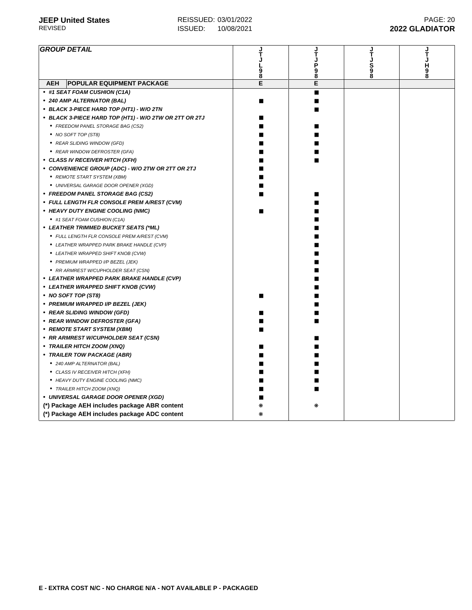| <b>GROUP DETAIL</b>                                    |        |        |        |   |
|--------------------------------------------------------|--------|--------|--------|---|
|                                                        |        |        |        |   |
|                                                        |        | P      | Š<br>9 | 9 |
|                                                        | 9<br>8 | 9<br>8 |        |   |
| <b>AEH</b><br><b>POPULAR EQUIPMENT PACKAGE</b>         | E      | E      |        |   |
| • #1 SEAT FOAM CUSHION (C1A)                           |        |        |        |   |
| • 240 AMP ALTERNATOR (BAL)                             | п      |        |        |   |
| • BLACK 3-PIECE HARD TOP (HT1) - W/O 2TN               |        |        |        |   |
| • BLACK 3-PIECE HARD TOP (HT1) - W/O 2TW OR 2TT OR 2TJ |        |        |        |   |
| • FREEDOM PANEL STORAGE BAG (CS2)                      |        |        |        |   |
| • NO SOFT TOP (ST8)                                    |        |        |        |   |
| • REAR SLIDING WINDOW (GFD)                            |        |        |        |   |
| • REAR WINDOW DEFROSTER (GFA)                          |        |        |        |   |
| • CLASS IV RECEIVER HITCH (XFH)                        |        |        |        |   |
| • CONVENIENCE GROUP (ADC) - W/O 2TW OR 2TT OR 2TJ      |        |        |        |   |
| • REMOTE START SYSTEM (XBM)                            |        |        |        |   |
| · UNIVERSAL GARAGE DOOR OPENER (XGD)                   |        |        |        |   |
| • FREEDOM PANEL STORAGE BAG (CS2)                      |        |        |        |   |
| • FULL LENGTH FLR CONSOLE PREM A/REST (CVM)            |        |        |        |   |
| • HEAVY DUTY ENGINE COOLING (NMC)                      |        |        |        |   |
| • #1 SEAT FOAM CUSHION (C1A)                           |        |        |        |   |
| • LEATHER TRIMMED BUCKET SEATS (*ML)                   |        |        |        |   |
| • FULL LENGTH FLR CONSOLE PREM A/REST (CVM)            |        |        |        |   |
| • LEATHER WRAPPED PARK BRAKE HANDLE (CVP)              |        |        |        |   |
| • LEATHER WRAPPED SHIFT KNOB (CVW)                     |        |        |        |   |
| • PREMIUM WRAPPED I/P BEZEL (JEK)                      |        |        |        |   |
| • RR ARMREST W/CUPHOLDER SEAT (CSN)                    |        |        |        |   |
| • LEATHER WRAPPED PARK BRAKE HANDLE (CVP)              |        |        |        |   |
| • LEATHER WRAPPED SHIFT KNOB (CVW)                     |        |        |        |   |
| • NO SOFT TOP (ST8)                                    | ▬      |        |        |   |
| • PREMIUM WRAPPED I/P BEZEL (JEK)                      |        |        |        |   |
| • REAR SLIDING WINDOW (GFD)                            |        |        |        |   |
| • REAR WINDOW DEFROSTER (GFA)                          |        |        |        |   |
| • REMOTE START SYSTEM (XBM)                            |        |        |        |   |
| • RR ARMREST W/CUPHOLDER SEAT (CSN)                    |        |        |        |   |
| • TRAILER HITCH ZOOM (XNQ)                             |        |        |        |   |
| • TRAILER TOW PACKAGE (ABR)                            |        |        |        |   |
| • 240 AMP ALTERNATOR (BAL)                             |        |        |        |   |
| • CLASS IV RECEIVER HITCH (XFH)                        |        |        |        |   |
| • HEAVY DUTY ENGINE COOLING (NMC)                      |        |        |        |   |
| • TRAILER HITCH ZOOM (XNQ)                             |        |        |        |   |
| • UNIVERSAL GARAGE DOOR OPENER (XGD)                   |        |        |        |   |
| (*) Package AEH includes package ABR content           |        | ⋇      |        |   |
| (*) Package AEH includes package ADC content           |        |        |        |   |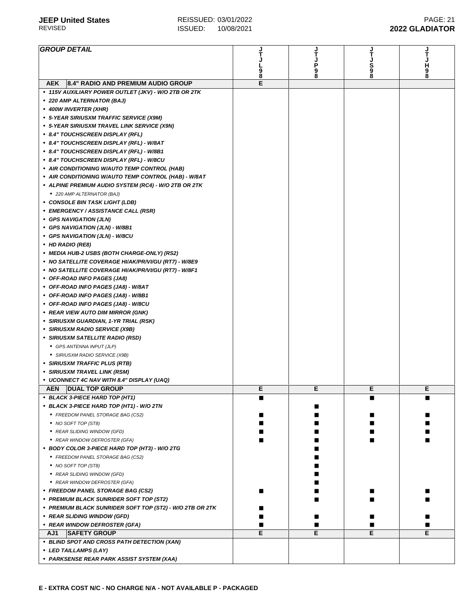| <b>GROUP DETAIL</b>                                      |        |        | ر<br>T  | ر<br>T          |
|----------------------------------------------------------|--------|--------|---------|-----------------|
|                                                          |        | P<br>9 |         | <b>PA</b><br>98 |
|                                                          | 9<br>8 | 8      | Š<br>88 |                 |
| 8.4" RADIO AND PREMIUM AUDIO GROUP<br><b>AEK</b>         | E      |        |         |                 |
| • 115V AUXILIARY POWER OUTLET (JKV) - W/O 2TB OR 2TK     |        |        |         |                 |
| • 220 AMP ALTERNATOR (BAJ)                               |        |        |         |                 |
| ● 400W INVERTER (XHR)                                    |        |        |         |                 |
| • 5-YEAR SIRIUSXM TRAFFIC SERVICE (X9M)                  |        |        |         |                 |
| • 5-YEAR SIRIUSXM TRAVEL LINK SERVICE (X9N)              |        |        |         |                 |
| • 8.4" TOUCHSCREEN DISPLAY (RFL)                         |        |        |         |                 |
| • 8.4" TOUCHSCREEN DISPLAY (RFL) - W/8AT                 |        |        |         |                 |
| • 8.4" TOUCHSCREEN DISPLAY (RFL) - W/8B1                 |        |        |         |                 |
| • 8.4" TOUCHSCREEN DISPLAY (RFL) - W/8CU                 |        |        |         |                 |
| • AIR CONDITIONING W/AUTO TEMP CONTROL (HAB)             |        |        |         |                 |
| • AIR CONDITIONING W/AUTO TEMP CONTROL (HAB) - W/8AT     |        |        |         |                 |
| • ALPINE PREMIUM AUDIO SYSTEM (RC4) - W/O 2TB OR 2TK     |        |        |         |                 |
| • 220 AMP ALTERNATOR (BAJ)                               |        |        |         |                 |
| • CONSOLE BIN TASK LIGHT (LDB)                           |        |        |         |                 |
| • EMERGENCY / ASSISTANCE CALL (RSR)                      |        |        |         |                 |
| • GPS NAVIGATION (JLN)                                   |        |        |         |                 |
| • GPS NAVIGATION (JLN) - W/8B1                           |        |        |         |                 |
| • GPS NAVIGATION (JLN) - W/8CU                           |        |        |         |                 |
| • HD RADIO (RE8)                                         |        |        |         |                 |
| • MEDIA HUB-2 USBS (BOTH CHARGE-ONLY) (RS2)              |        |        |         |                 |
| • NO SATELLITE COVERAGE HI/AK/PR/VI/GU (RT7) - W/8E9     |        |        |         |                 |
| • NO SATELLITE COVERAGE HI/AK/PR/VI/GU (RT7) - W/8F1     |        |        |         |                 |
| • OFF-ROAD INFO PAGES (JA8)                              |        |        |         |                 |
| • OFF-ROAD INFO PAGES (JA8) - W/8AT                      |        |        |         |                 |
| • OFF-ROAD INFO PAGES (JA8) - W/8B1                      |        |        |         |                 |
| • OFF-ROAD INFO PAGES (JA8) - W/8CU                      |        |        |         |                 |
| • REAR VIEW AUTO DIM MIRROR (GNK)                        |        |        |         |                 |
| • SIRIUSXM GUARDIAN, 1-YR TRIAL (RSK)                    |        |        |         |                 |
| • SIRIUSXM RADIO SERVICE (X9B)                           |        |        |         |                 |
| • SIRIUSXM SATELLITE RADIO (RSD)                         |        |        |         |                 |
| • GPS ANTENNA INPUT (JLP)                                |        |        |         |                 |
| • SIRIUSXM RADIO SERVICE (X9B)                           |        |        |         |                 |
| • SIRIUSXM TRAFFIC PLUS (RTB)                            |        |        |         |                 |
| • SIRIUSXM TRAVEL LINK (RSM)                             |        |        |         |                 |
| • UCONNECT 4C NAV WITH 8.4" DISPLAY (UAQ)                |        |        |         |                 |
| <b>AEN</b><br><b>DUAL TOP GROUP</b>                      | Ε      | Е      | Е       | Ε               |
| • BLACK 3-PIECE HARD TOP (HT1)                           | ■      |        |         | ■               |
| • BLACK 3-PIECE HARD TOP (HT1) - W/O 2TN                 |        |        |         |                 |
| • FREEDOM PANEL STORAGE BAG (CS2)                        |        |        |         |                 |
| • NO SOFT TOP (ST8)                                      |        |        |         |                 |
| • REAR SLIDING WINDOW (GFD)                              |        |        |         |                 |
| • REAR WINDOW DEFROSTER (GFA)                            |        |        |         |                 |
| • BODY COLOR 3-PIECE HARD TOP (HT3) - W/O 2TG            |        |        |         |                 |
| • FREEDOM PANEL STORAGE BAG (CS2)                        |        |        |         |                 |
| • NO SOFT TOP (ST8)                                      |        |        |         |                 |
| • REAR SLIDING WINDOW (GFD)                              |        |        |         |                 |
| • REAR WINDOW DEFROSTER (GFA)                            |        |        |         |                 |
| • FREEDOM PANEL STORAGE BAG (CS2)                        |        |        |         |                 |
| • PREMIUM BLACK SUNRIDER SOFT TOP (ST2)                  |        |        |         |                 |
| • PREMIUM BLACK SUNRIDER SOFT TOP (ST2) - W/O 2TB OR 2TK |        |        |         |                 |
| • REAR SLIDING WINDOW (GFD)                              |        |        |         |                 |
| • REAR WINDOW DEFROSTER (GFA)                            |        |        |         |                 |
| <b>SAFETY GROUP</b><br>AJ1                               | E      | Е      | Е       | Е               |
| • BLIND SPOT AND CROSS PATH DETECTION (XAN)              |        |        |         |                 |
| • LED TAILLAMPS (LAY)                                    |        |        |         |                 |
| • PARKSENSE REAR PARK ASSIST SYSTEM (XAA)                |        |        |         |                 |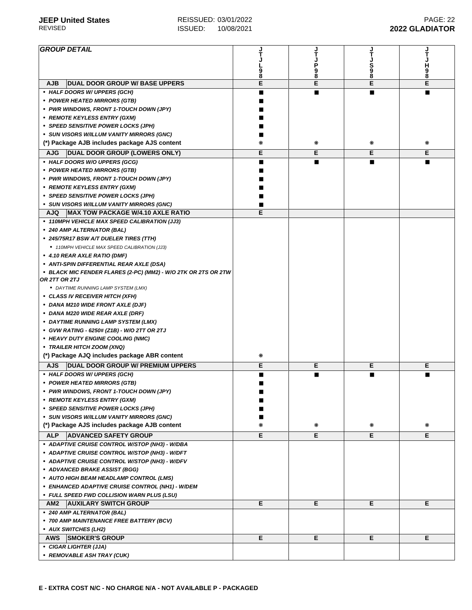| <b>GROUP DETAIL</b>                                            |   |        |        |        |
|----------------------------------------------------------------|---|--------|--------|--------|
|                                                                |   |        |        |        |
|                                                                |   | Ρ<br>9 | s<br>9 | н      |
|                                                                | 8 | 8      | 8      | 9<br>8 |
| <b>DUAL DOOR GROUP W/ BASE UPPERS</b><br><b>AJB</b>            | Е | E      | E      | E      |
| • HALF DOORS W/ UPPERS (GCH)                                   |   | ■      |        |        |
| • POWER HEATED MIRRORS (GTB)                                   |   |        |        |        |
| • PWR WINDOWS, FRONT 1-TOUCH DOWN (JPY)                        |   |        |        |        |
| • REMOTE KEYLESS ENTRY (GXM)                                   |   |        |        |        |
| • SPEED SENSITIVE POWER LOCKS (JPH)                            |   |        |        |        |
| • SUN VISORS W/ILLUM VANITY MIRRORS (GNC)                      |   |        |        |        |
| (*) Package AJB includes package AJS content                   |   | ∗      | ₩      | ⋇      |
|                                                                |   |        |        |        |
| <b>DUAL DOOR GROUP (LOWERS ONLY)</b><br><b>AJG</b>             | Е | Е      | Е      | Е      |
| • HALF DOORS W/O UPPERS (GCG)                                  |   |        |        |        |
| • POWER HEATED MIRRORS (GTB)                                   |   |        |        |        |
| • PWR WINDOWS, FRONT 1-TOUCH DOWN (JPY)                        |   |        |        |        |
| • REMOTE KEYLESS ENTRY (GXM)                                   |   |        |        |        |
| • SPEED SENSITIVE POWER LOCKS (JPH)                            |   |        |        |        |
| • SUN VISORS W/ILLUM VANITY MIRRORS (GNC)                      |   |        |        |        |
| MAX TOW PACKAGE W/4.10 AXLE RATIO<br><b>AJQ</b>                | E |        |        |        |
| • 110MPH VEHICLE MAX SPEED CALIBRATION (JJ3)                   |   |        |        |        |
| • 240 AMP ALTERNATOR (BAL)                                     |   |        |        |        |
| • 245/75R17 BSW A/T DUELER TIRES (TTH)                         |   |        |        |        |
| • 110MPH VEHICLE MAX SPEED CALIBRATION (JJ3)                   |   |        |        |        |
| ● 4.10 REAR AXLE RATIO (DMF)                                   |   |        |        |        |
| • ANTI-SPIN DIFFERENTIAL REAR AXLE (DSA)                       |   |        |        |        |
| • BLACK MIC FENDER FLARES (2-PC) (MM2) - W/O 2TK OR 2TS OR 2TW |   |        |        |        |
| OR 2TT OR 2TJ                                                  |   |        |        |        |
| • DAYTIME RUNNING LAMP SYSTEM (LMX)                            |   |        |        |        |
| • CLASS IV RECEIVER HITCH (XFH)                                |   |        |        |        |
| • DANA M210 WIDE FRONT AXLE (DJF)                              |   |        |        |        |
| • DANA M220 WIDE REAR AXLE (DRF)                               |   |        |        |        |
| • DAYTIME RUNNING LAMP SYSTEM (LMX)                            |   |        |        |        |
| • GVW RATING - 6250# (Z1B) - W/O 2TT OR 2TJ                    |   |        |        |        |
| • HEAVY DUTY ENGINE COOLING (NMC)                              |   |        |        |        |
| • TRAILER HITCH ZOOM (XNQ)                                     |   |        |        |        |
| (*) Package AJQ includes package ABR content                   | ⋇ |        |        |        |
|                                                                |   |        |        |        |
| <b>DUAL DOOR GROUP W/ PREMIUM UPPERS</b><br>AJS                | Е | Е      | Е      | Е      |
| • HALF DOORS W/ UPPERS (GCH)                                   |   |        |        |        |
| • POWER HEATED MIRRORS (GTB)                                   |   |        |        |        |
| • PWR WINDOWS, FRONT 1-TOUCH DOWN (JPY)                        |   |        |        |        |
| • REMOTE KEYLESS ENTRY (GXM)                                   |   |        |        |        |
| • SPEED SENSITIVE POWER LOCKS (JPH)                            |   |        |        |        |
| • SUN VISORS W/ILLUM VANITY MIRRORS (GNC)                      |   |        |        |        |
| (*) Package AJS includes package AJB content                   | * | ∗      | ₩      | ⋇      |
| <b>ALP</b><br><b>ADVANCED SAFETY GROUP</b>                     | Е | Е      | Е      | E.     |
| • ADAPTIVE CRUISE CONTROL W/STOP (NH3) - W/DBA                 |   |        |        |        |
| • ADAPTIVE CRUISE CONTROL W/STOP (NH3) - W/DFT                 |   |        |        |        |
| • ADAPTIVE CRUISE CONTROL W/STOP (NH3) - W/DFV                 |   |        |        |        |
| • ADVANCED BRAKE ASSIST (BGG)                                  |   |        |        |        |
| • AUTO HIGH BEAM HEADLAMP CONTROL (LMS)                        |   |        |        |        |
|                                                                |   |        |        |        |
| • ENHANCED ADAPTIVE CRUISE CONTROL (NH1) - W/DEM               |   |        |        |        |
| • FULL SPEED FWD COLLISION WARN PLUS (LSU)                     |   |        |        |        |
| AM <sub>2</sub><br><b>AUXILARY SWITCH GROUP</b>                | Е | Е      | Е      | Е      |
| • 240 AMP ALTERNATOR (BAL)                                     |   |        |        |        |
| • 700 AMP MAINTENANCE FREE BATTERY (BCV)                       |   |        |        |        |
| • AUX SWITCHES (LH2)                                           |   |        |        |        |
| AWS SMOKER'S GROUP                                             | Е | E.     | Е      | Е      |
| • CIGAR LIGHTER (JJA)                                          |   |        |        |        |
| • REMOVABLE ASH TRAY (CUK)                                     |   |        |        |        |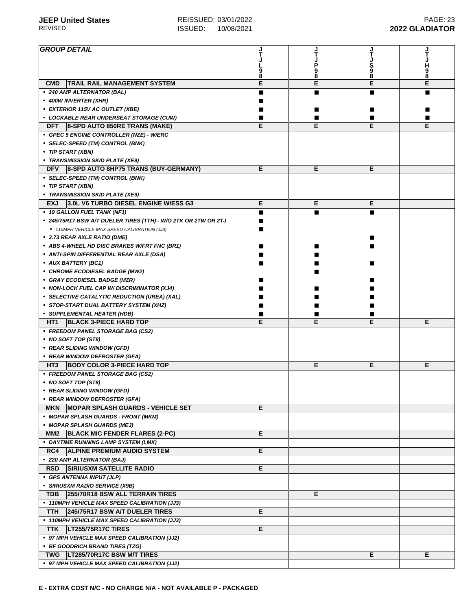| <b>GROUP DETAIL</b>                                                              | 9<br>8 | 9<br>8 |   | H<br>9<br>8 |
|----------------------------------------------------------------------------------|--------|--------|---|-------------|
| <b>CMD</b><br><b>TRAIL RAIL MANAGEMENT SYSTEM</b>                                | E      | E      | E | E           |
| • 240 AMP ALTERNATOR (BAL)                                                       | ■      | ■      | ■ |             |
| • 400W INVERTER (XHR)                                                            |        |        |   |             |
| • EXTERIOR 115V AC OUTLET (XBE)                                                  |        |        |   |             |
| • LOCKABLE REAR UNDERSEAT STORAGE (CUW)                                          |        |        |   |             |
| DFT<br>8-SPD AUTO 850RE TRANS (MAKE)                                             | Е      | Е      | Е | Е           |
| • GPEC 5 ENGINE CONTROLLER (NZE) - W/ERC                                         |        |        |   |             |
|                                                                                  |        |        |   |             |
| • SELEC-SPEED (TM) CONTROL (BNK)                                                 |        |        |   |             |
| • TIP START (XBN)                                                                |        |        |   |             |
| • TRANSMISSION SKID PLATE (XE9)                                                  |        |        |   |             |
| 8-SPD AUTO 8HP75 TRANS (BUY-GERMANY)<br><b>DFV</b>                               | Е      | Е      | Е |             |
| • SELEC-SPEED (TM) CONTROL (BNK)                                                 |        |        |   |             |
| • TIP START (XBN)                                                                |        |        |   |             |
| • TRANSMISSION SKID PLATE (XE9)                                                  |        |        |   |             |
| <b>EXJ</b><br>3.0L V6 TURBO DIESEL ENGINE W/ESS G3                               | Е      | Е      | Е |             |
| • 19 GALLON FUEL TANK (NF1)                                                      | п      | ■      | ■ |             |
| • 245/75R17 BSW A/T DUELER TIRES (TTH) - W/O 2TK OR 2TW OR 2TJ                   |        |        |   |             |
| • 110MPH VEHICLE MAX SPEED CALIBRATION (JJ3)                                     |        |        |   |             |
| • 3.73 REAR AXLE RATIO (DME)                                                     |        |        |   |             |
| • ABS 4-WHEEL HD DISC BRAKES W/FRT FNC (BR1)                                     |        |        |   |             |
| • ANTI-SPIN DIFFERENTIAL REAR AXLE (DSA)                                         |        |        |   |             |
| • AUX BATTERY (BC1)                                                              |        |        |   |             |
|                                                                                  |        |        |   |             |
| • CHROME ECODIESEL BADGE (MW2)                                                   |        |        |   |             |
| • GRAY ECODIESEL BADGE (MZR)                                                     |        |        |   |             |
| • NON-LOCK FUEL CAP W/ DISCRIMINATOR (XJ4)                                       |        |        |   |             |
| • SELECTIVE CATALYTIC REDUCTION (UREA) (XAL)                                     |        |        |   |             |
| • STOP-START DUAL BATTERY SYSTEM (XHZ)                                           |        |        |   |             |
| • SUPPLEMENTAL HEATER (HDB)                                                      |        |        |   |             |
|                                                                                  |        |        | E | Е           |
| <b>BLACK 3-PIECE HARD TOP</b><br>HT1                                             | Е      | E      |   |             |
| • FREEDOM PANEL STORAGE BAG (CS2)                                                |        |        |   |             |
| • NO SOFT TOP (ST8)                                                              |        |        |   |             |
| • REAR SLIDING WINDOW (GFD)                                                      |        |        |   |             |
| • REAR WINDOW DEFROSTER (GFA)                                                    |        |        |   |             |
| HT <sub>3</sub><br><b>BODY COLOR 3-PIECE HARD TOP</b>                            |        | Е      | Е | Е           |
|                                                                                  |        |        |   |             |
| • FREEDOM PANEL STORAGE BAG (CS2)                                                |        |        |   |             |
| • NO SOFT TOP (ST8)                                                              |        |        |   |             |
| • REAR SLIDING WINDOW (GFD)                                                      |        |        |   |             |
| • REAR WINDOW DEFROSTER (GFA)                                                    |        |        |   |             |
| <b>MKN</b><br><b>MOPAR SPLASH GUARDS - VEHICLE SET</b>                           | Е      |        |   |             |
| • MOPAR SPLASH GUARDS - FRONT (MKM)                                              |        |        |   |             |
| • MOPAR SPLASH GUARDS (MEJ)                                                      |        |        |   |             |
| <b>BLACK MIC FENDER FLARES (2-PC)</b><br>MM2                                     | Е      |        |   |             |
| • DAYTIME RUNNING LAMP SYSTEM (LMX)                                              |        |        |   |             |
| <b>ALPINE PREMIUM AUDIO SYSTEM</b><br>RC4                                        | Е      |        |   |             |
| • 220 AMP ALTERNATOR (BAJ)                                                       |        |        |   |             |
| <b>SIRIUSXM SATELLITE RADIO</b><br><b>RSD</b>                                    | Е      |        |   |             |
| • GPS ANTENNA INPUT (JLP)                                                        |        |        |   |             |
| • SIRIUSXM RADIO SERVICE (X9B)                                                   |        |        |   |             |
| <b>TDB</b><br>255/70R18 BSW ALL TERRAIN TIRES                                    |        | Е      |   |             |
| • 110MPH VEHICLE MAX SPEED CALIBRATION (JJ3)                                     |        |        |   |             |
| 245/75R17 BSW A/T DUELER TIRES<br>TTH                                            | Е      |        |   |             |
|                                                                                  |        |        |   |             |
| • 110MPH VEHICLE MAX SPEED CALIBRATION (JJ3)                                     |        |        |   |             |
| LT255/75R17C TIRES<br>TTK                                                        | Е      |        |   |             |
| • 97 MPH VEHICLE MAX SPEED CALIBRATION (JJ2)                                     |        |        |   |             |
| • BF GOODRICH BRAND TIRES (TZG)                                                  |        |        |   |             |
| TWG   LT285/70R17C BSW M/T TIRES<br>• 97 MPH VEHICLE MAX SPEED CALIBRATION (JJ2) |        |        | Е | Е           |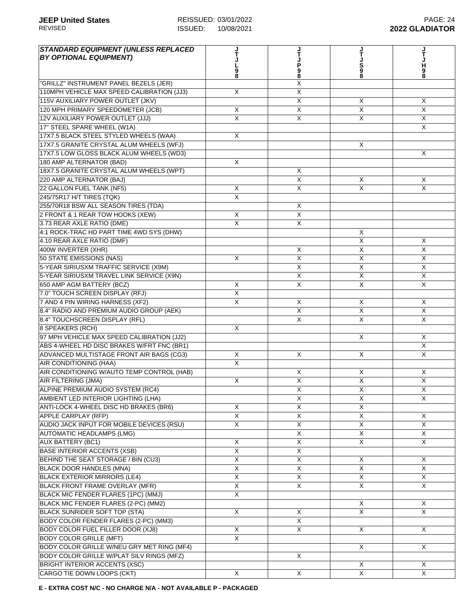| <b>STANDARD EQUIPMENT (UNLESS REPLACED</b><br><b>BY OPTIONAL EQUIPMENT)</b> |                         | Ť<br>P<br>98            | S<br>98                 | н<br>9<br>8                |
|-----------------------------------------------------------------------------|-------------------------|-------------------------|-------------------------|----------------------------|
| "GRILLZ" INSTRUMENT PANEL BEZELS (JER)                                      |                         | Χ                       |                         |                            |
| 110MPH VEHICLE MAX SPEED CALIBRATION (JJ3)                                  | X                       | X                       |                         |                            |
| 115V AUXILIARY POWER OUTLET (JKV)                                           |                         | X                       | X                       | X                          |
| 120 MPH PRIMARY SPEEDOMETER (JCB)                                           | X                       | X                       | X                       | $\mathsf{X}$               |
| 12V AUXILIARY POWER OUTLET (JJJ)                                            | X                       | X                       | X                       | X                          |
| 17" STEEL SPARE WHEEL (W1A)                                                 |                         |                         |                         | $\times$                   |
| 17X7.5 BLACK STEEL STYLED WHEELS (WAA)                                      | X                       |                         |                         |                            |
| 17X7.5 GRANITE CRYSTAL ALUM WHEELS (WFJ)                                    |                         |                         | X                       |                            |
| 17X7.5 LOW GLOSS BLACK ALUM WHEELS (WD3)                                    |                         |                         |                         | X                          |
| 180 AMP ALTERNATOR (BAD)                                                    | X                       |                         |                         |                            |
| 18X7.5 GRANITE CRYSTAL ALUM WHEELS (WPT)                                    |                         | X                       |                         |                            |
| 220 AMP ALTERNATOR (BAJ)                                                    |                         | X                       | X                       | X                          |
| 22 GALLON FUEL TANK (NF5)                                                   | X                       | X                       | $\overline{X}$          | $\overline{X}$             |
| 245/75R17 H/T TIRES (TQK)                                                   | X                       |                         |                         |                            |
| 255/70R18 BSW ALL SEASON TIRES (TDA)                                        |                         | X                       |                         |                            |
| 2 FRONT & 1 REAR TOW HOOKS (XEW)                                            | X                       | X                       |                         |                            |
| 3.73 REAR AXLE RATIO (DME)                                                  | X                       | $\overline{\mathsf{x}}$ |                         |                            |
| 4:1 ROCK-TRAC HD PART TIME 4WD SYS (DHW)                                    |                         |                         | X                       |                            |
| 4.10 REAR AXLE RATIO (DMF)                                                  |                         |                         | X                       | X                          |
| 400W INVERTER (XHR)                                                         |                         | X                       | $\overline{\mathsf{x}}$ | $\overline{X}$             |
| 50 STATE EMISSIONS (NAS)                                                    | X                       | X                       | X                       | X                          |
| 5-YEAR SIRIUSXM TRAFFIC SERVICE (X9M)                                       |                         | X                       | X                       | $\mathsf{X}$               |
| 5-YEAR SIRIUSXM TRAVEL LINK SERVICE (X9N)                                   |                         | X                       | X                       | $\mathsf{X}$               |
| 650 AMP AGM BATTERY (BCZ)                                                   | X                       | X                       | X                       | X                          |
| 7.0" TOUCH SCREEN DISPLAY (RFJ)                                             | $\overline{X}$          |                         |                         |                            |
| 7 AND 4 PIN WIRING HARNESS (XF2)                                            | X                       | X                       | X                       | X                          |
| 8.4" RADIO AND PREMIUM AUDIO GROUP (AEK)                                    |                         | X                       | $\overline{\mathsf{x}}$ | $\overline{X}$             |
|                                                                             |                         | X                       | X                       | $\overline{\mathsf{x}}$    |
| 8.4" TOUCHSCREEN DISPLAY (RFL)                                              |                         |                         |                         |                            |
| 8 SPEAKERS (RCH)<br>97 MPH VEHICLE MAX SPEED CALIBRATION (JJ2)              | X                       |                         | X                       |                            |
|                                                                             |                         |                         |                         | $\times$<br>$\overline{X}$ |
| ABS 4-WHEEL HD DISC BRAKES W/FRT FNC (BR1)                                  | X                       |                         | $\times$                |                            |
| ADVANCED MULTISTAGE FRONT AIR BAGS (CG3)                                    |                         | X                       |                         | $\times$                   |
| <b>AIR CONDITIONING (HAA)</b>                                               | X                       |                         |                         |                            |
| AIR CONDITIONING W/AUTO TEMP CONTROL (HAB)                                  |                         | X                       | X                       | X                          |
| AIR FILTERING (JMA)                                                         | X                       | X                       | X                       | X                          |
| ALPINE PREMIUM AUDIO SYSTEM (RC4)                                           |                         | $\overline{X}$          | $\pmb{\times}$          | X                          |
| AMBIENT LED INTERIOR LIGHTING (LHA)                                         |                         | $\overline{X}$          | $\overline{\mathsf{x}}$ | X                          |
| ANTI-LOCK 4-WHEEL DISC HD BRAKES (BR6)                                      | X                       | $\overline{\mathsf{X}}$ | $\overline{X}$          |                            |
| <b>APPLE CARPLAY (RFP)</b>                                                  | $\overline{X}$          | X                       | $\overline{X}$          | $\times$                   |
| AUDIO JACK INPUT FOR MOBILE DEVICES (RSU)                                   | X                       | X                       | $\overline{\mathsf{x}}$ | X                          |
| <b>AUTOMATIC HEADLAMPS (LMG)</b>                                            |                         | $\overline{\mathsf{x}}$ | X                       | $\mathsf{X}$               |
| <b>AUX BATTERY (BC1)</b>                                                    | X                       | $\overline{X}$          | X                       | X                          |
| <b>BASE INTERIOR ACCENTS (XSB)</b>                                          | X                       | X                       |                         |                            |
| BEHIND THE SEAT STORAGE / BIN (CU3)                                         | X                       | X                       | X                       | X                          |
| BLACK DOOR HANDLES (MNA)                                                    | $\overline{\mathsf{x}}$ | X                       | X                       | X                          |
| <b>BLACK EXTERIOR MIRRORS (LE4)</b>                                         | $\overline{\mathsf{x}}$ | $\overline{X}$          | X                       | X                          |
| <b>BLACK FRONT FRAME OVERLAY (MFR)</b>                                      | $\overline{X}$          | X                       | X                       | X                          |
| BLACK MIC FENDER FLARES (1PC) (MMJ)                                         | $\overline{\mathsf{x}}$ |                         |                         |                            |
| BLACK MIC FENDER FLARES (2-PC) (MM2)                                        |                         |                         | X                       | X                          |
| <b>BLACK SUNRIDER SOFT TOP (STA)</b>                                        | X                       | X                       | $\overline{X}$          | $\overline{X}$             |
| BODY COLOR FENDER FLARES (2-PC) (MM3)                                       |                         | X                       |                         |                            |
| BODY COLOR FUEL FILLER DOOR (XJ8)                                           | X                       | X                       | X                       | X                          |
| <b>BODY COLOR GRILLE (MFT)</b>                                              | $\mathsf{X}$            |                         |                         |                            |
| BODY COLOR GRILLE W/NEU GRY MET RING (MF4)                                  |                         |                         | X                       | X                          |
| BODY COLOR GRILLE W/PLAT SILV RINGS (MFZ)                                   |                         | X                       |                         |                            |
| <b>BRIGHT INTERIOR ACCENTS (XSC)</b>                                        |                         |                         | $\overline{\mathsf{x}}$ | X                          |
| CARGO TIE DOWN LOOPS (CKT)                                                  | X                       | X                       | $\overline{\mathsf{X}}$ | $\overline{X}$             |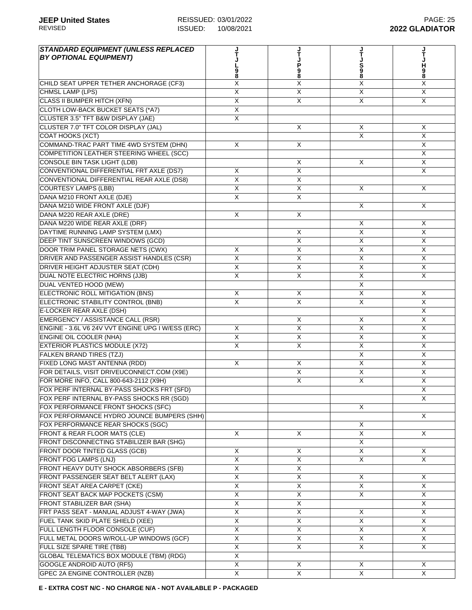| <b>STANDARD EQUIPMENT (UNLESS REPLACED</b>                                 |                              |                                                      |                         |                              |
|----------------------------------------------------------------------------|------------------------------|------------------------------------------------------|-------------------------|------------------------------|
| <b>BY OPTIONAL EQUIPMENT)</b>                                              |                              |                                                      |                         |                              |
|                                                                            | 9<br>8                       | P<br>98                                              | S<br>8                  | H<br>9                       |
|                                                                            | Χ                            | X                                                    | $\overline{\mathsf{X}}$ | 8<br>X                       |
| CHILD SEAT UPPER TETHER ANCHORAGE (CF3)<br><b>CHMSL LAMP (LPS)</b>         | $\overline{\mathsf{X}}$      | $\overline{X}$                                       | $\overline{X}$          | $\overline{X}$               |
| <b>CLASS II BUMPER HITCH (XFN)</b>                                         | X                            | $\boldsymbol{\mathsf{X}}$                            | X                       | $\times$                     |
| CLOTH LOW-BACK BUCKET SEATS (*A7)                                          | X                            |                                                      |                         |                              |
|                                                                            | X                            |                                                      |                         |                              |
| CLUSTER 3.5" TFT B&W DISPLAY (JAE)<br>CLUSTER 7.0" TFT COLOR DISPLAY (JAL) |                              | $\boldsymbol{\mathsf{X}}$                            | X                       | X                            |
| COAT HOOKS (XCT)                                                           |                              |                                                      | $\times$                | X                            |
| COMMAND-TRAC PART TIME 4WD SYSTEM (DHN)                                    | X                            | $\overline{\mathsf{x}}$                              |                         | X                            |
| COMPETITION LEATHER STEERING WHEEL (SCC)                                   |                              |                                                      |                         | $\overline{X}$               |
| <b>CONSOLE BIN TASK LIGHT (LDB)</b>                                        |                              | $\boldsymbol{\mathsf{X}}$                            | X                       | $\overline{X}$               |
| CONVENTIONAL DIFFERENTIAL FRT AXLE (DS7)                                   | X                            | $\overline{X}$                                       |                         | $\overline{X}$               |
| CONVENTIONAL DIFFERENTIAL REAR AXLE (DS8)                                  | X                            | X                                                    |                         |                              |
| <b>COURTESY LAMPS (LBB)</b>                                                | X                            | X                                                    | X                       | X                            |
| DANA M210 FRONT AXLE (DJE)                                                 | X                            | X                                                    |                         |                              |
| DANA M210 WIDE FRONT AXLE (DJF)                                            |                              |                                                      | X                       | X                            |
| DANA M220 REAR AXLE (DRE)                                                  | X                            | X                                                    |                         |                              |
| DANA M220 WIDE REAR AXLE (DRF)                                             |                              |                                                      |                         |                              |
| DAYTIME RUNNING LAMP SYSTEM (LMX)                                          |                              | X                                                    | Χ<br>$\overline{X}$     | Χ<br>$\overline{\mathsf{x}}$ |
| DEEP TINT SUNSCREEN WINDOWS (GCD)                                          |                              | $\overline{\mathsf{x}}$                              | $\overline{X}$          | $\overline{X}$               |
| DOOR TRIM PANEL STORAGE NETS (CWX)                                         | X                            | $\overline{X}$                                       | $\overline{\mathsf{X}}$ | $\overline{X}$               |
| DRIVER AND PASSENGER ASSIST HANDLES (CSR)                                  | $\overline{\mathsf{X}}$      | X                                                    | $\overline{\mathsf{x}}$ | X                            |
| DRIVER HEIGHT ADJUSTER SEAT (CDH)                                          | X                            | X                                                    | X                       | $\overline{X}$               |
| DUAL NOTE ELECTRIC HORNS (JJB)                                             | X                            | X                                                    | X                       | $\overline{X}$               |
|                                                                            |                              |                                                      | X                       |                              |
| DUAL VENTED HOOD (MEW)                                                     |                              |                                                      |                         |                              |
| ELECTRONIC ROLL MITIGATION (BNS)                                           | X                            | X                                                    | X                       | X                            |
| ELECTRONIC STABILITY CONTROL (BNB)                                         | X                            | $\times$                                             | X                       | $\times$                     |
| E-LOCKER REAR AXLE (DSH)                                                   |                              |                                                      |                         | X<br>$\overline{X}$          |
| EMERGENCY / ASSISTANCE CALL (RSR)                                          |                              | $\boldsymbol{\mathsf{X}}$<br>$\overline{\mathsf{x}}$ | X                       | $\overline{X}$               |
| ENGINE - 3.6L V6 24V VVT ENGINE UPG I W/ESS (ERC)                          | X                            |                                                      | X                       | $\overline{X}$               |
| <b>ENGINE OIL COOLER (NHA)</b>                                             | $\overline{\mathsf{X}}$<br>X | $\overline{X}$                                       | $\overline{X}$          |                              |
| <b>EXTERIOR PLASTICS MODULE (X72)</b>                                      |                              | $\boldsymbol{\mathsf{X}}$                            | X                       | X<br>$\sf X$                 |
| <b>FALKEN BRAND TIRES (TZJ)</b>                                            |                              |                                                      | X                       |                              |
| FIXED LONG MAST ANTENNA (RDD)                                              | X                            | $\times$                                             | X                       | $\sf X$                      |
| FOR DETAILS, VISIT DRIVEUCONNECT.COM (X9E)                                 |                              | X                                                    | X                       | X                            |
| FOR MORE INFO, CALL 800-643-2112 (X9H)                                     |                              | $\times$                                             | X                       | X                            |
| FOX PERF INTERNAL BY-PASS SHOCKS FRT (SFD)                                 |                              |                                                      |                         | $\overline{X}$               |
| FOX PERF INTERNAL BY-PASS SHOCKS RR (SGD)                                  |                              |                                                      |                         | $\sf X$                      |
| FOX PERFORMANCE FRONT SHOCKS (SFC)                                         |                              |                                                      | X                       |                              |
| FOX PERFORMANCE HYDRO JOUNCE BUMPERS (SHH)                                 |                              |                                                      |                         | X                            |
| FOX PERFORMANCE REAR SHOCKS (SGC)                                          |                              |                                                      | X                       |                              |
| FRONT & REAR FLOOR MATS (CLE)                                              | X                            | X                                                    | $\overline{X}$          | X                            |
| FRONT DISCONNECTING STABILIZER BAR (SHG)                                   |                              |                                                      | X                       |                              |
| <b>FRONT DOOR TINTED GLASS (GCB)</b>                                       | X                            | Χ                                                    | X                       | X                            |
| <b>FRONT FOG LAMPS (LNJ)</b>                                               | X                            | X                                                    | X                       | X                            |
| FRONT HEAVY DUTY SHOCK ABSORBERS (SFB)                                     | X                            | X                                                    |                         |                              |
| FRONT PASSENGER SEAT BELT ALERT (LAX)                                      | $\mathsf X$                  | $\mathsf X$                                          | X                       | X                            |
| FRONT SEAT AREA CARPET (CKE)                                               | $\overline{\mathsf{X}}$      | $\overline{\mathsf{x}}$                              | X                       | X                            |
| FRONT SEAT BACK MAP POCKETS (CSM)                                          | Χ                            | $\overline{X}$                                       | $\overline{X}$          | $\overline{X}$               |
| FRONT STABILIZER BAR (SHA)                                                 | X                            | X                                                    |                         | X                            |
| FRT PASS SEAT - MANUAL ADJUST 4-WAY (JWA)                                  | X                            | X                                                    | X                       | $\times$                     |
| FUEL TANK SKID PLATE SHIELD (XEE)                                          | X                            | X                                                    | X                       | X                            |
| FULL LENGTH FLOOR CONSOLE (CUF)                                            | X                            | X                                                    | X                       | X                            |
| FULL METAL DOORS W/ROLL-UP WINDOWS (GCF)                                   | X                            | X                                                    | X                       | X                            |
| FULL SIZE SPARE TIRE (TBB)                                                 | X                            | X                                                    | X                       | X                            |
| GLOBAL TELEMATICS BOX MODULE (TBM) (RDG)                                   | X                            |                                                      |                         |                              |
| GOOGLE ANDROID AUTO (RF5)                                                  | $\overline{\mathsf{X}}$      | X                                                    | X                       | $\times$                     |
| GPEC 2A ENGINE CONTROLLER (NZB)                                            | X                            | X                                                    | $\overline{\mathsf{X}}$ | $\overline{X}$               |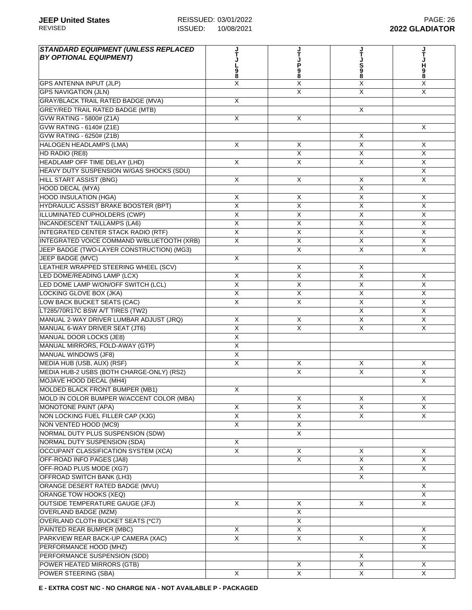| <b>STANDARD EQUIPMENT (UNLESS REPLACED</b><br><b>BY OPTIONAL EQUIPMENT)</b> |                         | P<br>98                 | S<br>8                  | н<br>9<br>8             |
|-----------------------------------------------------------------------------|-------------------------|-------------------------|-------------------------|-------------------------|
| <b>GPS ANTENNA INPUT (JLP)</b>                                              | X                       | Χ                       | X                       | X                       |
| <b>GPS NAVIGATION (JLN)</b>                                                 |                         | X                       | X                       | $\mathsf{X}$            |
| <b>GRAY/BLACK TRAIL RATED BADGE (MVA)</b>                                   | X                       |                         |                         |                         |
| <b>GREY/RED TRAIL RATED BADGE (MTB)</b>                                     |                         |                         | X                       |                         |
| GVW RATING - 5800# (Z1A)                                                    | X                       | X                       |                         |                         |
| GVW RATING - 6140# (Z1E)                                                    |                         |                         |                         | $\times$                |
| GVW RATING - 6250# (Z1B)                                                    |                         |                         | X                       |                         |
| <b>HALOGEN HEADLAMPS (LMA)</b>                                              | X                       | $\overline{X}$          | X                       | X                       |
| HD RADIO (RE8)                                                              |                         | $\overline{X}$          | X                       | $\overline{\mathsf{x}}$ |
| HEADLAMP OFF TIME DELAY (LHD)                                               | X                       | $\overline{X}$          | $\overline{\mathsf{X}}$ | $\overline{X}$          |
| HEAVY DUTY SUSPENSION W/GAS SHOCKS (SDU)                                    |                         |                         |                         | $\times$                |
| <b>HILL START ASSIST (BNG)</b>                                              | X                       | X                       | X                       | X                       |
| <b>HOOD DECAL (MYA)</b>                                                     |                         |                         | X                       |                         |
| <b>HOOD INSULATION (HGA)</b>                                                | Χ                       | Х                       | X                       | X                       |
| HYDRAULIC ASSIST BRAKE BOOSTER (BPT)                                        | X                       | X                       | X                       | $\mathsf{X}$            |
| ILLUMINATED CUPHOLDERS (CWP)                                                | X                       | X                       | X                       | $\times$                |
| <b>INCANDESCENT TAILLAMPS (LA6)</b>                                         | X                       | $\overline{X}$          | X                       | X                       |
| <b>INTEGRATED CENTER STACK RADIO (RTF)</b>                                  | $\overline{\mathsf{x}}$ | $\overline{X}$          | $\overline{X}$          | $\overline{\mathsf{x}}$ |
| INTEGRATED VOICE COMMAND W/BLUETOOTH (XRB)                                  | X                       | X                       | X                       | X                       |
| JEEP BADGE (TWO-LAYER CONSTRUCTION) (MG3)                                   |                         | $\overline{X}$          | $\overline{\mathsf{x}}$ | $\mathsf{X}$            |
| JEEP BADGE (MVC)                                                            | X                       |                         |                         |                         |
| LEATHER WRAPPED STEERING WHEEL (SCV)                                        |                         | X                       | X                       |                         |
| LED DOME/READING LAMP (LCX)                                                 | X                       | X                       | $\sf X$                 | X                       |
| LED DOME LAMP W/ON/OFF SWITCH (LCL)                                         | X                       | X                       | X                       | X                       |
| LOCKING GLOVE BOX (JKA)                                                     | X                       | X                       | X                       | $\times$                |
| LOW BACK BUCKET SEATS (CAC)                                                 | X                       | X                       | X                       | X                       |
| LT285/70R17C BSW A/T TIRES (TW2)                                            |                         |                         | $\overline{\mathsf{x}}$ | $\mathsf{X}$            |
| MANUAL 2-WAY DRIVER LUMBAR ADJUST (JRQ)                                     | X                       | X                       | $\overline{\mathsf{x}}$ | $\overline{X}$          |
| MANUAL 6-WAY DRIVER SEAT (JT6)                                              | $\overline{X}$          | X                       | $\overline{X}$          | X                       |
| MANUAL DOOR LOCKS (JE8)                                                     | X                       |                         |                         |                         |
| MANUAL MIRRORS, FOLD-AWAY (GTP)                                             | X                       |                         |                         |                         |
| <b>MANUAL WINDOWS (JF8)</b>                                                 | X                       |                         |                         |                         |
| MEDIA HUB (USB, AUX) (RSF)                                                  | X                       | X                       | X                       | X                       |
| MEDIA HUB-2 USBS (BOTH CHARGE-ONLY) (RS2)                                   |                         | X                       | X                       | $\mathsf{X}$            |
| MOJAVE HOOD DECAL (MH4)                                                     |                         |                         |                         | X                       |
| MOLDED BLACK FRONT BUMPER (MB1)                                             | X                       |                         |                         |                         |
| MOLD IN COLOR BUMPER W/ACCENT COLOR (MBA)                                   |                         | $\overline{\mathsf{x}}$ | X                       | X                       |
| <b>MONOTONE PAINT (APA)</b>                                                 | X                       | $\overline{\mathsf{X}}$ | X                       | $\overline{X}$          |
| NON LOCKING FUEL FILLER CAP (XJG)                                           | $\overline{X}$          | X                       | $\mathsf{X}$            | $\times$                |
| NON VENTED HOOD (MC9)                                                       | X                       | X                       |                         |                         |
| NORMAL DUTY PLUS SUSPENSION (SDW)                                           |                         | X                       |                         |                         |
| NORMAL DUTY SUSPENSION (SDA)                                                | X                       |                         |                         |                         |
| OCCUPANT CLASSIFICATION SYSTEM (XCA)                                        | X                       | X                       | X                       | X                       |
| OFF-ROAD INFO PAGES (JA8)                                                   |                         | X                       | X                       | X                       |
| OFF-ROAD PLUS MODE (XG7)                                                    |                         |                         | X                       | X                       |
| OFFROAD SWITCH BANK (LH3)                                                   |                         |                         | X                       |                         |
| ORANGE DESERT RATED BADGE (MVU)                                             |                         |                         |                         | X                       |
| ORANGE TOW HOOKS (XEQ)                                                      |                         |                         |                         | X                       |
| <b>OUTSIDE TEMPERATURE GAUGE (JFJ)</b>                                      | X                       | X                       | X                       | X                       |
| <b>OVERLAND BADGE (MZM)</b>                                                 |                         | X                       |                         |                         |
| OVERLAND CLOTH BUCKET SEATS (*C7)                                           |                         | X                       |                         |                         |
| PAINTED REAR BUMPER (MBC)                                                   | X                       | X                       |                         | X                       |
| PARKVIEW REAR BACK-UP CAMERA (XAC)                                          | X                       | X                       | X                       | X                       |
| PERFORMANCE HOOD (MHZ)                                                      |                         |                         |                         | X                       |
| PERFORMANCE SUSPENSION (SDD)                                                |                         |                         | $\sf X$                 |                         |
| POWER HEATED MIRRORS (GTB)                                                  |                         | X                       | $\overline{X}$          | X                       |
| POWER STEERING (SBA)                                                        | X                       | X                       | $\overline{\mathsf{X}}$ | $\overline{X}$          |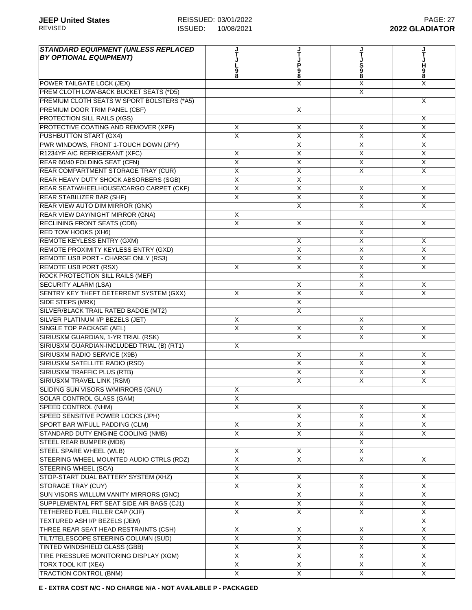| <b>STANDARD EQUIPMENT (UNLESS REPLACED</b><br><b>BY OPTIONAL EQUIPMENT)</b> |                         | Ť                       |                         |                |
|-----------------------------------------------------------------------------|-------------------------|-------------------------|-------------------------|----------------|
|                                                                             |                         |                         |                         | н              |
|                                                                             |                         | P<br>98                 | S<br>8                  | 9<br>8         |
| POWER TAILGATE LOCK (JEX)                                                   |                         | Χ                       | X                       | X              |
| PREM CLOTH LOW-BACK BUCKET SEATS (*D5)                                      |                         |                         | X                       |                |
| PREMIUM CLOTH SEATS W SPORT BOLSTERS (*A5)                                  |                         |                         |                         | X              |
| PREMIUM DOOR TRIM PANEL (CBF)                                               |                         | X                       |                         |                |
| PROTECTION SILL RAILS (XGS)                                                 |                         |                         |                         | Χ              |
| PROTECTIVE COATING AND REMOVER (XPF)                                        | X                       | X                       | X                       | $\mathsf{X}$   |
| PUSHBUTTON START (GX4)                                                      | X                       | X                       | X                       | X              |
| PWR WINDOWS, FRONT 1-TOUCH DOWN (JPY)                                       |                         | X                       | X                       | $\overline{X}$ |
| R1234YF A/C REFRIGERANT (XFC)                                               | X                       | $\overline{X}$          | $\overline{X}$          | $\overline{X}$ |
| REAR 60/40 FOLDING SEAT (CFN)                                               | $\overline{\mathsf{x}}$ | $\overline{\mathsf{x}}$ | $\overline{\mathsf{x}}$ | $\overline{X}$ |
| <b>REAR COMPARTMENT STORAGE TRAY (CUR)</b>                                  | X                       | X                       | X                       | $\times$       |
| REAR HEAVY DUTY SHOCK ABSORBERS (SGB)                                       | X                       | $\mathsf X$             |                         |                |
| REAR SEAT/WHEELHOUSE/CARGO CARPET (CKF)                                     | X                       | X                       | X                       | X              |
| <b>REAR STABILIZER BAR (SHF)</b>                                            | X                       | X                       | X                       | X              |
| REAR VIEW AUTO DIM MIRROR (GNK)                                             |                         | X                       | X                       | $\times$       |
| REAR VIEW DAY/NIGHT MIRROR (GNA)                                            | X                       |                         |                         |                |
| <b>RECLINING FRONT SEATS (CDB)</b>                                          | X                       | X                       | Χ                       | X              |
| RED TOW HOOKS (XH6)                                                         |                         |                         | $\overline{\mathsf{x}}$ |                |
| <b>REMOTE KEYLESS ENTRY (GXM)</b>                                           |                         | X                       | X                       | X              |
| REMOTE PROXIMITY KEYLESS ENTRY (GXD)                                        |                         | $\overline{X}$          | $\overline{\mathsf{x}}$ | $\overline{X}$ |
| REMOTE USB PORT - CHARGE ONLY (RS3)                                         |                         | X                       | X                       | X              |
| <b>REMOTE USB PORT (RSX)</b>                                                | X                       | X                       | X                       | $\mathsf{X}$   |
| ROCK PROTECTION SILL RAILS (MEF)                                            |                         |                         | $\times$                |                |
| <b>SECURITY ALARM (LSA)</b>                                                 |                         | X                       | X                       | X              |
| SENTRY KEY THEFT DETERRENT SYSTEM (GXX)                                     | X                       | X                       | X                       | $\times$       |
| SIDE STEPS (MRK)                                                            |                         | X                       |                         |                |
| SILVER/BLACK TRAIL RATED BADGE (MT2)                                        |                         | X                       |                         |                |
| SILVER PLATINUM I/P BEZELS (JET)                                            | X                       |                         | X                       |                |
| SINGLE TOP PACKAGE (AEL)                                                    | X                       | X                       | $\overline{X}$          | X              |
| SIRIUSXM GUARDIAN, 1-YR TRIAL (RSK)                                         |                         | X                       | $\overline{\mathsf{x}}$ | $\overline{X}$ |
| SIRIUSXM GUARDIAN-INCLUDED TRIAL (B) (RT1)                                  | X                       |                         |                         |                |
| SIRIUSXM RADIO SERVICE (X9B)                                                |                         | X                       | X                       | $\mathsf{X}$   |
| SIRIUSXM SATELLITE RADIO (RSD)                                              |                         | X                       | X                       | X              |
| <b>SIRIUSXM TRAFFIC PLUS (RTB)</b>                                          |                         | X                       | $\mathsf{X}$            | $\times$       |
| SIRIUSXM TRAVEL LINK (RSM)                                                  |                         | X                       | X                       | X              |
| SLIDING SUN VISORS W/MIRRORS (GNU)                                          | X                       |                         |                         |                |
| SOLAR CONTROL GLASS (GAM)                                                   | $\overline{X}$          |                         |                         |                |
| <b>SPEED CONTROL (NHM)</b>                                                  | $\overline{X}$          | X                       | X                       | X              |
| SPEED SENSITIVE POWER LOCKS (JPH)                                           |                         | $\overline{X}$          | $\overline{X}$          | $\overline{X}$ |
| SPORT BAR W/FULL PADDING (CLM)                                              | X                       | X                       | X                       | $\overline{X}$ |
| STANDARD DUTY ENGINE COOLING (NMB)                                          | $\overline{\mathsf{x}}$ | X                       | X                       | $\mathsf{X}$   |
| STEEL REAR BUMPER (MD6)                                                     |                         |                         | X                       |                |
| STEEL SPARE WHEEL (WLB)                                                     | X                       | X                       | X                       |                |
| STEERING WHEEL MOUNTED AUDIO CTRLS (RDZ)                                    | X                       | X                       | X                       | X              |
| STEERING WHEEL (SCA)                                                        | $\overline{\mathsf{x}}$ |                         |                         |                |
| STOP-START DUAL BATTERY SYSTEM (XHZ)                                        | $\overline{\mathsf{x}}$ | X                       | X                       | X              |
| <b>STORAGE TRAY (CUY)</b>                                                   | X                       | $\overline{X}$          | X                       | $\overline{X}$ |
| SUN VISORS W/ILLUM VANITY MIRRORS (GNC)                                     |                         | $\overline{\mathsf{x}}$ | $\overline{X}$          | X              |
| SUPPLEMENTAL FRT SEAT SIDE AIR BAGS (CJ1)                                   | X                       | X                       | X                       | X              |
| TETHERED FUEL FILLER CAP (XJF)                                              | $\overline{\mathsf{x}}$ | $\overline{\mathsf{x}}$ | $\overline{X}$          | X              |
| TEXTURED ASH I/P BEZELS (JEM)                                               |                         |                         |                         | X              |
| THREE REAR SEAT HEAD RESTRAINTS (CSH)                                       | X                       | X                       | $\mathsf{X}$            | X              |
| TILT/TELESCOPE STEERING COLUMN (SUD)                                        | X                       | X                       | X                       | X              |
| TINTED WINDSHIELD GLASS (GBB)                                               | X                       | X                       | X                       | X              |
| TIRE PRESSURE MONITORING DISPLAY (XGM)                                      | $\overline{X}$          | $\overline{X}$          | $\overline{\mathsf{x}}$ | $\overline{X}$ |
| <b>TORX TOOL KIT (XE4)</b>                                                  | $\overline{\mathsf{x}}$ | $\overline{X}$          | $\overline{X}$          | $\overline{X}$ |
| <b>TRACTION CONTROL (BNM)</b>                                               | $\overline{\mathsf{X}}$ | $\overline{X}$          | $\overline{X}$          | $\overline{X}$ |